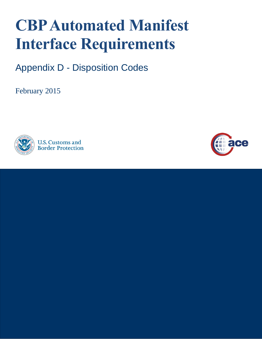## **CBP Automated Manifest Interface Requirements**

Appendix D - Disposition Codes

February 2015



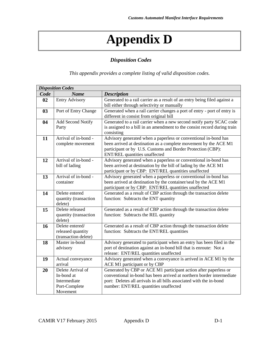## **Appendix D**

## *Disposition Codes*

*This appendix provides a complete listing of valid disposition codes.*

| <b>Disposition Codes</b> |                                                                              |                                                                                                                                                                                                                                                           |  |
|--------------------------|------------------------------------------------------------------------------|-----------------------------------------------------------------------------------------------------------------------------------------------------------------------------------------------------------------------------------------------------------|--|
| Code                     | <b>Name</b>                                                                  | <b>Description</b>                                                                                                                                                                                                                                        |  |
| 02                       | <b>Entry Advisory</b>                                                        | Generated to a rail carrier as a result of an entry being filed against a<br>bill either through selectivity or manually                                                                                                                                  |  |
| 03                       | Port of Entry Change                                                         | Generated when a rail carrier changes a port of entry - port of entry is<br>different in consist from original bill                                                                                                                                       |  |
| 04                       | <b>Add Second Notify</b><br>Party                                            | Generated to a rail carrier when a new second notify party SCAC code<br>is assigned to a bill in an amendment to the consist record during train<br>consisting                                                                                            |  |
| 11                       | Arrival of in-bond -<br>complete movement                                    | Advisory generated when a paperless or conventional in-bond has<br>been arrived at destination as a complete movement by the ACE M1<br>participant or by U.S. Customs and Border Protection (CBP):<br>ENT/REL quantities unaffected                       |  |
| 12                       | Arrival of in-bond -<br>bill of lading                                       | Advisory generated when a paperless or conventional in-bond has<br>been arrived at destination by the bill of lading by the ACE M1<br>participant or by CBP: ENT/REL quantities unaffected                                                                |  |
| 13                       | Arrival of in-bond -<br>container                                            | Advisory generated when a paperless or conventional in-bond has<br>been arrived at destination by the container/seal by the ACE M1<br>participant or by CBP: ENT/REL quantities unaffected                                                                |  |
| 14                       | Delete entered<br>quantity (transaction<br>delete)                           | Generated as a result of CBP action through the transaction delete<br>function: Subtracts the ENT quantity                                                                                                                                                |  |
| 15                       | Delete released<br>quantity (transaction<br>delete)                          | Generated as a result of CBP action through the transaction delete<br>function: Subtracts the REL quantity                                                                                                                                                |  |
| 16                       | Delete entered/<br>released quantity<br>(transaction delete)                 | Generated as a result of CBP action through the transaction delete<br>function: Subtracts the ENT/REL quantities                                                                                                                                          |  |
| 18                       | Master in-bond<br>advisory                                                   | Advisory generated to participant when an entry has been filed in the<br>port of destination against an in-bond bill that is enroute: Not a<br>release: ENT/REL quantities unaffected                                                                     |  |
| 19                       | Actual conveyance<br>arrival                                                 | Advisory generated when a conveyance is arrived in ACE M1 by the<br>ACE M1 participant or by CBP                                                                                                                                                          |  |
| 20                       | Delete Arrival of<br>In-bond at<br>Intermediate<br>Port-Complete<br>Movement | Generated by CBP or ACE M1 participant action after paperless or<br>conventional in-bond has been arrived at northern border intermediate<br>port: Deletes all arrivals in all bills associated with the in-bond<br>number: ENT/REL quantities unaffected |  |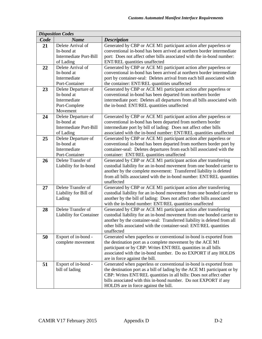| <b>Disposition Codes</b> |                                |                                                                          |  |
|--------------------------|--------------------------------|--------------------------------------------------------------------------|--|
| Code                     | <b>Name</b>                    | <b>Description</b>                                                       |  |
| 21                       | Delete Arrival of              | Generated by CBP or ACE M1 participant action after paperless or         |  |
|                          | In-bond at                     | conventional in-bond has been arrived at northern border intermediate    |  |
|                          | Intermediate Port-Bill         | port: Does not affect other bills associated with the in-bond number:    |  |
|                          | of Lading                      | ENT/REL quantities unaffected                                            |  |
| 22                       | Delete Arrival of              | Generated by CBP or ACE M1 participant action after paperless or         |  |
|                          | In-bond at                     | conventional in-bond has been arrived at northern border intermediate    |  |
|                          | Intermediate                   | port by container-seal: Deletes arrival from each bill associated with   |  |
|                          | Port-Container                 | the container: ENT/REL quantities unaffected                             |  |
| 23                       | Delete Departure of            | Generated by CBP or ACE M1 participant action after paperless or         |  |
|                          | In-bond at                     | conventional in-bond has been departed from northern border              |  |
|                          | Intermediate                   | intermediate port: Deletes all departures from all bills associated with |  |
|                          | Port-Complete                  | the in-bond: ENT/REL quantities unaffected                               |  |
|                          | Movement                       |                                                                          |  |
| 24                       | Delete Departure of            | Generated by CBP or ACE M1 participant action after paperless or         |  |
|                          | In-bond at                     | conventional in-bond has been departed from northern border              |  |
|                          | Intermediate Port-Bill         | intermediate port by bill of lading: Does not affect other bills         |  |
|                          | of Lading                      | associated with the in-bond number: ENT/REL quantities unaffected        |  |
| 25                       | Delete Departure of            | Generated by CBP or ACE M1 participant action after paperless or         |  |
|                          | In-bond at                     | conventional in-bond has been departed from northern border port by      |  |
|                          | Intermediate                   | container-seal: Deletes departures from each bill associated with the    |  |
|                          | Port-Container                 | container: ENT/REL quantities unaffected                                 |  |
| 26                       | Delete Transfer of             | Generated by CBP or ACE M1 participant action after transferring         |  |
|                          | Liability for In-bond          | custodial liability for an in-bond movement from one bonded carrier to   |  |
|                          |                                | another by the complete movement: Transferred liability is deleted       |  |
|                          |                                | from all bills associated with the in-bond number: ENT/REL quantities    |  |
|                          |                                | unaffected                                                               |  |
| 27                       | Delete Transfer of             | Generated by CBP or ACE M1 participant action after transferring         |  |
|                          | Liability for Bill of          | custodial liability for an in-bond movement from one bonded carrier to   |  |
|                          | Lading                         | another by the bill of lading: Does not affect other bills associated    |  |
|                          |                                | with the in-bond number: ENT/REL quantities unaffected                   |  |
| 28                       | Delete Transfer of             | Generated by CBP or ACE M1 participant action after transferring         |  |
|                          | <b>Liability for Container</b> | custodial liability for an in-bond movement from one bonded carrier to   |  |
|                          |                                | another by the container-seal: Transferred liability is deleted from all |  |
|                          |                                | other bills associated with the container-seal: ENT/REL quantities       |  |
|                          |                                | unaffected                                                               |  |
| 50                       | Export of in-bond -            | Generated when paperless or conventional in-bond is exported from        |  |
|                          | complete movement              | the destination port as a complete movement by the ACE M1                |  |
|                          |                                | participant or by CBP: Writes ENT/REL quantities in all bills            |  |
|                          |                                | associated with the in-bond number. Do no EXPORT if any HOLDS            |  |
|                          |                                | are in force against the bill.                                           |  |
| 51                       | Export of in-bond -            | Generated when paperless or conventional in-bond is exported from        |  |
|                          | bill of lading                 | the destination port as a bill of lading by the ACE M1 participant or by |  |
|                          |                                | CBP: Writes ENT/REL quantities in all bills: Does not affect other       |  |
|                          |                                | bills associated with this in-bond number. Do not EXPORT if any          |  |
|                          |                                | HOLDS are in force against the bill.                                     |  |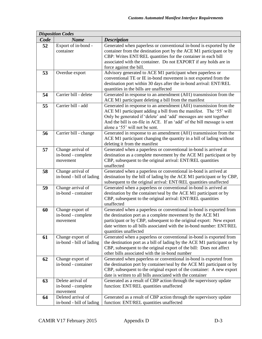| <b>Disposition Codes</b> |                                                     |                                                                                                                                                                                                                                                                                                                           |  |
|--------------------------|-----------------------------------------------------|---------------------------------------------------------------------------------------------------------------------------------------------------------------------------------------------------------------------------------------------------------------------------------------------------------------------------|--|
| Code                     | <b>Name</b>                                         | <b>Description</b>                                                                                                                                                                                                                                                                                                        |  |
| 52                       | Export of in-bond -<br>container                    | Generated when paperless or conventional in-bond is exported by the<br>container from the destination port by the ACE M1 participant or by<br>CBP: Writes ENT/REL quantities for the container in each bill<br>associated with the container. Do not EXPORT if any holds are in<br>force against the bill.                |  |
| 53                       | Overdue export                                      | Advisory generated to ACE M1 participant when paperless or<br>conventional TE or IE in-bond movement is not exported from the<br>destination port within 30 days after the in-bond arrival: ENT/REL<br>quantities in the bills are unaffected                                                                             |  |
| 54                       | Carrier bill - delete                               | Generated in response to an amendment (A01) transmission from the<br>ACE M1 participant deleting a bill from the manifest                                                                                                                                                                                                 |  |
| 55                       | Carrier bill - add                                  | Generated in response to an amendment (A01) transmission from the<br>ACE M1 participant adding a bill from the manifest. The '55' will<br>Only be generated if 'delete' and 'add' messages are sent together<br>And the bill is on-file in ACE. If an 'add' of the bill message is sent<br>alone a '55' will not be sent. |  |
| 56                       | Carrier bill - change                               | Generated in response to an amendment (A01) transmission from the<br>ACE M1 participant changing the quantity in a bill of lading without<br>deleting it from the manifest                                                                                                                                                |  |
| 57                       | Change arrival of<br>in-bond - complete<br>movement | Generated when a paperless or conventional in-bond is arrived at<br>destination as a complete movement by the ACE M1 participant or by<br>CBP, subsequent to the original arrival: ENT/REL quantities<br>unaffected                                                                                                       |  |
| 58                       | Change arrival of<br>in-bond - bill of lading       | Generated when a paperless or conventional in-bond is arrived at<br>destination by the bill of lading by the ACE M1 participant or by CBP,<br>subsequent to the original arrival: ENT/REL quantities unaffected                                                                                                           |  |
| 59                       | Change arrival of<br>in-bond - container            | Generated when a paperless or conventional in-bond is arrived at<br>destination by the container/seal by the ACE M1 participant or by<br>CBP, subsequent to the original arrival: ENT/REL quantities<br>unaffected                                                                                                        |  |
| 60                       | Change export of<br>in-bond - complete<br>movement  | Generated when a paperless or conventional in-bond is exported from<br>the destination port as a complete movement by the ACE M1<br>participant or by CBP, subsequent to the original export: New export<br>date written to all bills associated with the in-bond number: ENT/REL<br>quantities unaffected                |  |
| 61                       | Change export of<br>in-bond - bill of lading        | Generated when a paperless or conventional in-bond is exported from<br>the destination port as a bill of lading by the ACE M1 participant or by<br>CBP, subsequent to the original export of the bill: Does not affect<br>other bills associated with the in-bond number                                                  |  |
| 62                       | Change export of<br>in-bond - container             | Generated when paperless or conventional in-bond is exported from<br>the destination port by container/seal by the ACE M1 participant or by<br>CBP, subsequent to the original export of the container: A new export<br>date is written to all bills associated with the container                                        |  |
| 63                       | Delete arrival of<br>in-bond - complete<br>movement | Generated as a result of CBP action through the supervisory update<br>function: ENT/REL quantities unaffected                                                                                                                                                                                                             |  |
| 64                       | Deleted arrival of<br>in-bond - bill of lading      | Generated as a result of CBP action through the supervisory update<br>function: ENT/REL quantities unaffected                                                                                                                                                                                                             |  |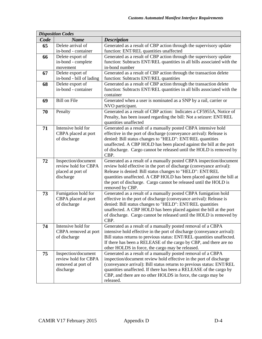|      | <b>Disposition Codes</b> |                                                                                       |
|------|--------------------------|---------------------------------------------------------------------------------------|
| Code | <b>Name</b>              | <b>Description</b>                                                                    |
| 65   | Delete arrival of        | Generated as a result of CBP action through the supervisory update                    |
|      | in-bond - container      | function: ENT/REL quantities unaffected                                               |
| 66   | Delete export of         | Generated as a result of CBP action through the supervisory update                    |
|      | in-bond - complete       | function: Subtracts ENT/REL quantities in all bills associated with the               |
|      | movement                 | in-bond number                                                                        |
| 67   | Delete export of         | Generated as a result of CBP action through the transaction delete                    |
|      | in-bond - bill of lading | function: Subtracts ENT/REL quantities                                                |
| 68   | Delete export of         | Generated as a result of CBP action through the transaction delete                    |
|      | in-bond - container      | function: Subtracts ENT/REL quantities in all bills associated with the               |
|      |                          | container                                                                             |
| 69   | <b>Bill on File</b>      | Generated when a user is nominated as a SNP by a rail, carrier or<br>NVO participant. |
| 70   | Penalty                  | Generated as a result of CBP action: Indicates a CF5955A, Notice of                   |
|      |                          | Penalty, has been issued regarding the bill: Not a seizure: ENT/REL                   |
|      |                          | quantities unaffected                                                                 |
| 71   | Intensive hold for       | Generated as a result of a manually posted CBPA intensive hold                        |
|      | CBPA placed at port      | effective in the port of discharge (conveyance arrival): Release is                   |
|      | of discharge             | denied: Bill status changes to "HELD": ENT/REL quantities                             |
|      |                          | unaffected. A CBP HOLD has been placed against the bill at the port                   |
|      |                          | of discharge. Cargo cannot be released until the HOLD is removed by                   |
|      |                          | CBP.                                                                                  |
| 72   | Inspection/document      | Generated as a result of a manually posted CBPA inspection/document                   |
|      | review hold for CBPA     | review hold effective in the port of discharge (conveyance arrival):                  |
|      | placed at port of        | Release is denied: Bill status changes to "HELD": ENT/REL                             |
|      | discharge                | quantities unaffected. A CBP HOLD has been placed against the bill at                 |
|      |                          | the port of discharge. Cargo cannot be released until the HOLD is                     |
| 73   | Fumigation hold for      | removed by CBP.<br>Generated as a result of a manually posted CBPA fumigation hold    |
|      | CBPA placed at port      | effective in the port of discharge (conveyance arrival): Release is                   |
|      | of discharge             | denied: Bill status changes to "HELD": ENT/REL quantities                             |
|      |                          | unaffected. A CBP HOLD has been placed against the bill at the port                   |
|      |                          | of discharge. Cargo cannot be released until the HOLD is removed by                   |
|      |                          | CBP.                                                                                  |
| 74   | Intensive hold for       | Generated as a result of a manually posted removal of a CBPA                          |
|      | CBPA removed at port     | intensive hold effective in the port of discharge (conveyance arrival):               |
|      | of discharge             | Bill status returns to previous status: ENT/REL quantities unaffected.                |
|      |                          | If there has been a RELEASE of the cargo by CBP, and there are no                     |
|      |                          | other HOLDS in force, the cargo may be released.                                      |
| 75   | Inspection/document      | Generated as a result of a manually posted removal of a CBPA                          |
|      | review hold for CBPA     | inspection/document review hold effective in the port of discharge                    |
|      | removed at port of       | (conveyance arrival): Bill status returns to previous status: ENT/REL                 |
|      | discharge                | quantities unaffected. If there has been a RELEASE of the cargo by                    |
|      |                          | CBP, and there are no other HOLDS in force, the cargo may be                          |
|      |                          | released.                                                                             |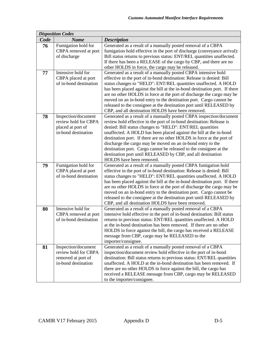| <b>Disposition Codes</b> |                                                |                                                                                                                                         |  |
|--------------------------|------------------------------------------------|-----------------------------------------------------------------------------------------------------------------------------------------|--|
| Code                     | <b>Name</b>                                    | <b>Description</b>                                                                                                                      |  |
| 76                       | Fumigation hold for                            | Generated as a result of a manually posted removal of a CBPA                                                                            |  |
|                          | CBPA removed at port                           | fumigation hold effective in the port of discharge (conveyance arrival):                                                                |  |
|                          | of discharge                                   | Bill status returns to previous status: ENT/REL quantities unaffected.                                                                  |  |
|                          |                                                | If there has been a RELEASE of the cargo by CBP, and there are no                                                                       |  |
|                          |                                                | other HOLDS in force, the cargo may be released.                                                                                        |  |
| 77                       | Intensive hold for                             | Generated as a result of a manually posted CBPA intensive hold                                                                          |  |
|                          | CBPA placed at port                            | effective in the port of in-bond destination: Release is denied: Bill                                                                   |  |
|                          | of in-bond destination                         | status changes to "HELD": ENT/REL quantities unaffected. A HOLD                                                                         |  |
|                          |                                                | has been placed against the bill at the in-bond destination port. If there                                                              |  |
|                          |                                                | are no other HOLDS in force at the port of discharge the cargo may be                                                                   |  |
|                          |                                                | moved on an in-bond entry to the destination port. Cargo cannot be                                                                      |  |
|                          |                                                | released to the consignee at the destination port until RELEASED by<br>CBP, and all destination HOLDS have been removed.                |  |
| 78                       | Inspection/document                            | Generated as a result of a manually posted CBPA inspection/document                                                                     |  |
|                          | review hold for CBPA                           | review hold effective in the port of in-bond destination: Release is                                                                    |  |
|                          | placed at port of                              | denied: Bill status changes to "HELD": ENT/REL quantities                                                                               |  |
|                          | in-bond destination                            | unaffected. A HOLD has been placed against the bill at the in-bond                                                                      |  |
|                          |                                                | destination port. If there are no other HOLDS in force at the port of                                                                   |  |
|                          |                                                | discharge the cargo may be moved on an in-bond entry to the                                                                             |  |
|                          |                                                | destination port. Cargo cannot be released to the consignee at the                                                                      |  |
|                          |                                                | destination port until RELEASED by CBP, and all destination                                                                             |  |
|                          |                                                | HOLDS have been removed.                                                                                                                |  |
| 79                       | Fumigation hold for                            | Generated as a result of a manually posted CBPA fumigation hold                                                                         |  |
|                          | CBPA placed at port                            | effective in the port of in-bond destination: Release is denied: Bill                                                                   |  |
|                          | of in-bond destination                         | status changes to "HELD": ENT/REL quantities unaffected. A HOLD                                                                         |  |
|                          |                                                | has been placed against the bill at the in-bond destination port. If there                                                              |  |
|                          |                                                | are no other HOLDS in force at the port of discharge the cargo may be                                                                   |  |
|                          |                                                | moved on an in-bond entry to the destination port. Cargo cannot be                                                                      |  |
|                          |                                                | released to the consignee at the destination port until RELEASED by                                                                     |  |
|                          |                                                | CBP, and all destination HOLDS have been removed.                                                                                       |  |
| 80                       | Intensive hold for                             | Generated as a result of a manually posted removal of a CBPA                                                                            |  |
|                          | CBPA removed at port<br>of in-bond destination | intensive hold effective in the port of in-bond destination: Bill status                                                                |  |
|                          |                                                | returns to previous status: ENT/REL quantities unaffected. A HOLD<br>at the in-bond destination has been removed. If there are no other |  |
|                          |                                                | HOLDS in force against the bill, the cargo has received a RELEASE                                                                       |  |
|                          |                                                | message from CBP, cargo may be RELEASED to the                                                                                          |  |
|                          |                                                | importer/consignee.                                                                                                                     |  |
| 81                       | Inspection/document                            | Generated as a result of a manually posted removal of a CBPA                                                                            |  |
|                          | review hold for CBPA                           | inspection/document review hold effective in the port of in-bond                                                                        |  |
|                          | removed at port of                             | destination: Bill status returns to previous status: ENT/REL quantities                                                                 |  |
|                          | in-bond destination                            | unaffected. A HOLD at the in-bond destination has been removed. If                                                                      |  |
|                          |                                                | there are no other HOLDS in force against the bill, the cargo has                                                                       |  |
|                          |                                                | received a RELEASE message from CBP, cargo may be RELEASED                                                                              |  |
|                          |                                                | to the importer/consignee.                                                                                                              |  |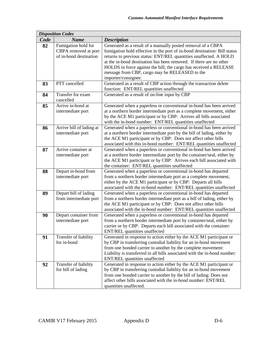|      | <b>Disposition Codes</b>                                              |                                                                                                                                                                                                                                                                                                                                                                                                                                    |
|------|-----------------------------------------------------------------------|------------------------------------------------------------------------------------------------------------------------------------------------------------------------------------------------------------------------------------------------------------------------------------------------------------------------------------------------------------------------------------------------------------------------------------|
| Code | <b>Name</b>                                                           | <b>Description</b>                                                                                                                                                                                                                                                                                                                                                                                                                 |
| 82   | Fumigation hold for<br>CBPA removed at port<br>of in-bond destination | Generated as a result of a manually posted removal of a CBPA<br>fumigation hold effective in the port of in-bond destination: Bill status<br>returns to previous status: ENT/REL quantities unaffected. A HOLD<br>at the in-bond destination has been removed. If there are no other<br>HOLDS in force against the bill, the cargo has received a RELEASE<br>message from CBP, cargo may be RELEASED to the<br>importer/consignee. |
| 83   | PTT cancelled                                                         | Generated as a result of CBP action through the transaction delete<br>function: ENT/REL quantities unaffected                                                                                                                                                                                                                                                                                                                      |
| 84   | Transfer for exam<br>cancelled                                        | Generated as a result of on-line input by CBP                                                                                                                                                                                                                                                                                                                                                                                      |
| 85   | Arrive in-bond at<br>intermediate port                                | Generated when a paperless or conventional in-bond has been arrived<br>at a northern border intermediate port as a complete movement, either<br>by the ACE M1 participant or by CBP: Arrives all bills associated<br>with the in-bond number: ENT/REL quantities unaffected                                                                                                                                                        |
| 86   | Arrive bill of lading at<br>intermediate port                         | Generated when a paperless or conventional in-bond has been arrived<br>at a northern border intermediate port by the bill of lading, either by<br>the ACE M1 participant or by CBP: Does not affect other bills<br>associated with this in-bond number: ENT/REL quantities unaffected                                                                                                                                              |
| 87   | Arrive container at<br>intermediate port                              | Generated when a paperless or conventional in-bond has been arrived<br>at a northern border intermediate port by the container/seal, either by<br>the ACE M1 participant or by CBP: Arrives each bill associated with<br>the container: ENT/REL quantities unaffected                                                                                                                                                              |
| 88   | Depart in-bond from<br>intermediate port                              | Generated when a paperless or conventional in-bond has departed<br>from a northern border intermediate port as a complete movement,<br>either by the ACE M1 participant or by CBP: Departs all bills<br>associated with the in-bond number: ENT/REL quantities unaffected                                                                                                                                                          |
| 89   | Depart bill of lading<br>from intermediate port                       | Generated when a paperless or conventional in-bond has departed<br>from a northern border intermediate port as a bill of lading, either by<br>the ACE M1 participant or by CBP: Does not affect other bills<br>associated with the in-bond number: ENT/REL quantities unaffected                                                                                                                                                   |
| 90   | Depart container from<br>intermediate port                            | Generated when a paperless or conventional in-bond has departed<br>from a northern border intermediate port by container/seal, either by<br>carrier or by CBP: Departs each bill associated with the container:<br>ENT/REL quantities unaffected                                                                                                                                                                                   |
| 91   | Transfer of liability<br>for in-bond                                  | Generated in response to action either by the ACE M1 participant or<br>by CBP in transferring custodial liability for an in-bond movement<br>from one bonded carrier to another by the complete movement:<br>Liability is transferred in all bills associated with the in-bond number:<br>ENT/REL quantities unaffected                                                                                                            |
| 92   | Transfer of liability<br>for bill of lading                           | Generated in response to action either by the ACE M1 participant or<br>by CBP in transferring custodial liability for an in-bond movement<br>from one bonded carrier to another by the bill of lading: Does not<br>affect other bills associated with the in-bond number: ENT/REL<br>quantities unaffected.                                                                                                                        |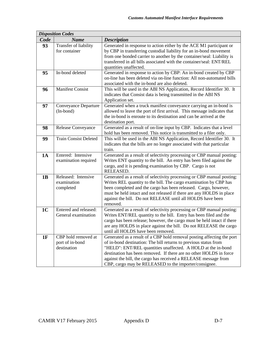|                | <b>Disposition Codes</b>                              |                                                                                                                                                                                                                                                                                                                                                                                                              |
|----------------|-------------------------------------------------------|--------------------------------------------------------------------------------------------------------------------------------------------------------------------------------------------------------------------------------------------------------------------------------------------------------------------------------------------------------------------------------------------------------------|
| Code           | <b>Name</b>                                           | <b>Description</b>                                                                                                                                                                                                                                                                                                                                                                                           |
| 93             | Transfer of liability<br>for container                | Generated in response to action either by the ACE M1 participant or<br>by CBP in transferring custodial liability for an in-bond movement<br>from one bonded carrier to another by the container/seal: Liability is<br>transferred in all bills associated with the container/seal: ENT/REL<br>quantities unaffected.                                                                                        |
| 95             | In-bond deleted                                       | Generated in response to action by CBP: An in-bond created by CBP<br>on-line has been deleted via on-line function: All non-automated bills<br>associated with the in-bond are also deleted.                                                                                                                                                                                                                 |
| 96             | <b>Manifest Consist</b>                               | This will be used in the ABI NS Application, Record Identifier 30. It<br>indicates that Consist data is being transmitted in the ABI NS<br>Application set.                                                                                                                                                                                                                                                  |
| 97             | Conveyance Departure<br>(In-bond)                     | Generated when a truck manifest conveyance carrying an in-bond is<br>allowed to leave the port of first arrival. This message indicates that<br>the in-bond is enroute to its destination and can be arrived at the<br>destination port.                                                                                                                                                                     |
| 98             | Release Conveyance                                    | Generated as a result of on-line input by CBP. Indicates that a level<br>hold has been removed. This notice is transmitted to a filer only.                                                                                                                                                                                                                                                                  |
| 99             | <b>Train Consist Deleted</b>                          | This will be used in the ABI NS Application, Record Identifier 30. It<br>indicates that the bills are no longer associated with that particular<br>train.                                                                                                                                                                                                                                                    |
| 1A             | Entered: Intensive<br>examination required            | Generated as a result of selectivity processing or CBP manual posting:<br>Writes ENT quantity to the bill. An entry has been filed against the<br>cargo, and it is pending examination by CBP. Cargo is not<br>RELEASED.                                                                                                                                                                                     |
| 1B             | Released: Intensive<br>examination<br>completed       | Generated as a result of selectivity processing or CBP manual posting:<br>Writes REL quantity to the bill. The cargo examination by CBP has<br>been completed and the cargo has been released. Cargo, however,<br>must be held intact and not released if there are any HOLDS in place<br>against the bill. Do not RELEASE until all HOLDS have been<br>removed.                                             |
| 1 <sub>C</sub> | Entered and released:<br>General examination          | Generated as a result of selectivity processing or CBP manual posting:<br>Writes ENT/REL quantity to the bill. Entry has been filed and the<br>cargo has been release; however, the cargo must be held intact if there<br>are any HOLDS in place against the bill. Do not RELEASE the cargo<br>until all HOLDS have been removed.                                                                            |
| 1F             | CBP hold removed at<br>port of in-bond<br>destination | Generated as a result of a CBP hold removal posting affecting the port<br>of in-bond destination: The bill returns to previous status from<br>"HELD": ENT/REL quantities unaffected. A HOLD at the in-bond<br>destination has been removed. If there are no other HOLDS in force<br>against the bill, the cargo has received a RELEASE message from<br>CBP, cargo may be RELEASED to the importer/consignee. |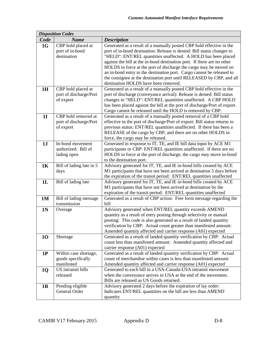|                | <b>Disposition Codes</b>              |                                                                                                                                                |
|----------------|---------------------------------------|------------------------------------------------------------------------------------------------------------------------------------------------|
| Code           | <b>Name</b>                           | <b>Description</b>                                                                                                                             |
| 1G             | CBP hold placed at<br>port of in-bond | Generated as a result of a manually posted CBP hold effective in the<br>port of in-bond destination: Release is denied: Bill status changes to |
|                | destination                           | "HELD": ENT/REL quantities unaffected. A HOLD has been placed                                                                                  |
|                |                                       | against the bill at the in-bond destination port. If there are no other                                                                        |
|                |                                       | HOLDS in force at the port of discharge the cargo may be moved on                                                                              |
|                |                                       | an in-bond entry to the destination port. Cargo cannot be released to                                                                          |
|                |                                       | the consignee at the destination port until RELEASED by CBP, and all                                                                           |
|                |                                       | destination HOLDS have been removed.                                                                                                           |
| 1H             | CBP hold placed at                    | Generated as a result of a manually posted CBP hold effective in the                                                                           |
|                | port of discharge/Port                | port of discharge (conveyance arrival): Release is denied: Bill status                                                                         |
|                | of export                             | changes to "HELD": ENT/REL quantities unaffected. A CBP HOLD                                                                                   |
|                |                                       | has been placed against the bill at the port of discharge/Port of export.                                                                      |
|                |                                       | Cargo cannot be released until the HOLD is removed by CBP.                                                                                     |
| <b>1I</b>      | CBP hold removed at                   | Generated as a result of a manually posted removal of a CBP hold                                                                               |
|                | port of discharge/Port                | effective in the port of discharge/Port of export: Bill status returns to                                                                      |
|                | of export                             | previous status: ENT/REL quantities unaffected. If there has been a<br>RELEASE of the cargo by CBP, and there are no other HOLDS in            |
|                |                                       | force, the cargo may be released.                                                                                                              |
| 1J             | In-bond movement                      | Generated in response to IT, TE, and IE bill data input by ACE M1                                                                              |
|                | authorized: Bill of                   | participants or CBP: ENT/REL quantities unaffected. If there are no                                                                            |
|                | lading open                           | HOLDS in force at the port of discharge, the cargo may move in-bond                                                                            |
|                |                                       | to the destination port.                                                                                                                       |
| <b>1K</b>      | Bill of lading late in 5              | Advisory generated for IT, TE, and IE in-bond bills created by ACE                                                                             |
|                | days                                  | M1 participants that have not been arrived at destination 5 days before                                                                        |
|                |                                       | the expiration of the transit period: ENT/REL quantities unaffected                                                                            |
| 1L             | Bill of lading late                   | Advisory generated for IT, TE, and IE in-bond bills created by ACE                                                                             |
|                |                                       | M1 participants that have not been arrived at destination by the                                                                               |
|                |                                       | expiration of the transit period: ENT/REL quantities unaffected                                                                                |
| <b>1M</b>      | Bill of lading message                | Generated as a result of CBP action: Free form message regarding the                                                                           |
|                | transmission                          | bill<br>Advisory generated when ENT/REL quantity exceeds AMEND                                                                                 |
| 1 <sub>N</sub> | Overage                               | quantity as a result of entry posting through selectivity or manual                                                                            |
|                |                                       | posting: This code is also generated as a result of landed quantity                                                                            |
|                |                                       | verification by CBP: Actual count greater than manifested amount:                                                                              |
|                |                                       | Amended quantity affected and carrier response (A01) expected                                                                                  |
| <b>10</b>      | Shortage                              | Generated as a result of landed quantity verification by CBP: Actual                                                                           |
|                |                                       | count less than manifested amount: Amended quantity affected and                                                                               |
|                |                                       | carrier response (A01) expected                                                                                                                |
| 1P             | Within case shortage,                 | Generated as a result of landed quantity verification by CBP: Actual                                                                           |
|                | goods specifically                    | count of merchandise within cases is less than manifested amount:                                                                              |
|                | manifested                            | Amended quantity affected and carrier response (A01) expected                                                                                  |
| <b>1Q</b>      | US intransit bills                    | Generated to each bill in a USA-Canada-USA intransit movement                                                                                  |
|                | released                              | when the conveyance arrives in USA at the end of the movement.                                                                                 |
|                |                                       | Bills are released as US Goods returned.                                                                                                       |
| 1 <sub>R</sub> | Pending eligible                      | Advisory generated 2 days before the expiration of lay order:                                                                                  |
|                | General Order                         | Indicates ENT/REL quantities on the bill are less than AMEND                                                                                   |
|                |                                       | quantity                                                                                                                                       |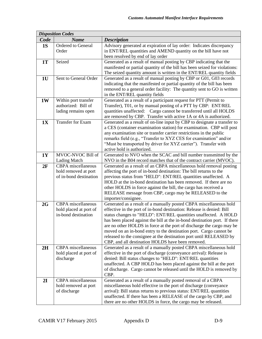|                | <b>Disposition Codes</b>                                             |                                                                                                                                                                                                                                                                                                                                                                                                                                                                                                                                                                         |  |  |
|----------------|----------------------------------------------------------------------|-------------------------------------------------------------------------------------------------------------------------------------------------------------------------------------------------------------------------------------------------------------------------------------------------------------------------------------------------------------------------------------------------------------------------------------------------------------------------------------------------------------------------------------------------------------------------|--|--|
| Code           | <b>Name</b>                                                          | <b>Description</b>                                                                                                                                                                                                                                                                                                                                                                                                                                                                                                                                                      |  |  |
| 1S             | Ordered to General<br>Order                                          | Advisory generated at expiration of lay order: Indicates discrepancy<br>in ENT/REL quantities and AMEND quantity on the bill have not<br>been resolved by end of lay order                                                                                                                                                                                                                                                                                                                                                                                              |  |  |
| <b>1T</b>      | Seized                                                               | Generated as a result of manual posting by CBP indicating that the<br>manifested or partial quantity of the bill has been seized for violations:<br>The seized quantity amount is written in the ENT/REL quantity fields                                                                                                                                                                                                                                                                                                                                                |  |  |
| 1 <sub>U</sub> | Sent to General Order                                                | Generated as a result of manual posting by CBP or G01, G03 records<br>indicating that the manifested or partial quantity of the bill has been<br>removed to a general order facility: The quantity sent to GO is written<br>in the ENT/REL quantity fields                                                                                                                                                                                                                                                                                                              |  |  |
| <b>1W</b>      | Within port transfer<br>authorized: Bill of<br>lading remains open   | Generated as a result of a participant request for PTT (Permit to<br>Transfer), T01, or by manual posting of a PTT by CBP: ENT/REL<br>quantities unaffected: Cargo cannot be transferred until all HOLDS<br>are removed by CBP. Transfer with active 1A or 4A is authorized.                                                                                                                                                                                                                                                                                            |  |  |
| 1X             | Transfer for Exam                                                    | Generated as a result of on-line input by CBP to designate a transfer to<br>a CES (container examination station) for examination. CBP will post<br>any examination site or transfer carrier restrictions in the public<br>remarks field (e.g., "Transfer to XYZ CES for examination" and/or<br>"Must be transported by driver for XYZ carrier"). Transfer with<br>active hold is authorized.                                                                                                                                                                           |  |  |
| <b>1Y</b>      | MVOC-NVOC Bill of<br><b>Lading Match</b>                             | Generated to NVO when the SCAC and bill number transmitted by the<br>NVO in the B04 record matches that of the contract carrier (MVOC).                                                                                                                                                                                                                                                                                                                                                                                                                                 |  |  |
| 2F             | CBPA miscellaneous<br>hold removed at port<br>of in-bond destination | Generated as a result of an CBPA miscellaneous hold removal posting<br>affecting the port of in-bond destination: The bill returns to the<br>previous status from "HELD": ENT/REL quantities unaffected. A<br>HOLD at the in-bond destination has been removed. If there are no<br>other HOLDS in force against the bill, the cargo has received a<br>RELEASE message from CBP, cargo may be RELEASED to the<br>importer/consignee.                                                                                                                                     |  |  |
| 2G             | CBPA miscellaneous<br>hold placed at port of<br>in-bond destination  | Generated as a result of a manually posted CBPA miscellaneous hold<br>effective in the port of in-bond destination: Release is denied: Bill<br>status changes to "HELD": ENT/REL quantities unaffected. A HOLD<br>has been placed against the bill at the in-bond destination port. If there<br>are no other HOLDS in force at the port of discharge the cargo may be<br>moved on an in-bond entry to the destination port. Cargo cannot be<br>released to the consignee at the destination port until RELEASED by<br>CBP, and all destination HOLDS have been removed. |  |  |
| 2H             | CBPA miscellaneous<br>hold placed at port of<br>discharge            | Generated as a result of a manually posted CBPA miscellaneous hold<br>effective in the port of discharge (conveyance arrival): Release is<br>denied: Bill status changes to "HELD": ENT/REL quantities<br>unaffected. A CBP HOLD has been placed against the bill at the port<br>of discharge. Cargo cannot be released until the HOLD is removed by<br>CBP.                                                                                                                                                                                                            |  |  |
| 2I             | <b>CBPA</b> miscellaneous<br>hold removed at port<br>of discharge    | Generated as a result of a manually posted removal of a CBPA<br>miscellaneous hold effective in the port of discharge (conveyance<br>arrival): Bill status returns to previous status: ENT/REL quantities<br>unaffected. If there has been a RELEASE of the cargo by CBP, and<br>there are no other HOLDS in force, the cargo may be released.                                                                                                                                                                                                                          |  |  |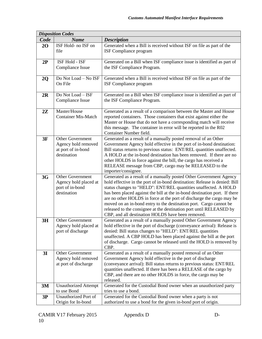|      | <b>Disposition Codes</b>                   |                                                                                                                                                |  |  |
|------|--------------------------------------------|------------------------------------------------------------------------------------------------------------------------------------------------|--|--|
| Code | <b>Name</b>                                | <b>Description</b>                                                                                                                             |  |  |
| 20   | ISF Hold- no ISF on                        | Generated when a Bill is received without ISF on file as part of the                                                                           |  |  |
|      | file                                       | ISF Compliance program                                                                                                                         |  |  |
|      |                                            |                                                                                                                                                |  |  |
| 2P   | ISF Hold - ISF                             | Generated on a Bill when ISF compliance issue is identified as part of                                                                         |  |  |
|      | Compliance Issue                           | the ISF Compliance Program.                                                                                                                    |  |  |
|      | Do Not Load - No ISF                       | Generated when a Bill is received without ISF on file as part of the                                                                           |  |  |
| 2Q   | On File                                    | ISF Compliance program                                                                                                                         |  |  |
|      |                                            |                                                                                                                                                |  |  |
| 2R   | Do Not Load - ISF                          | Generated on a Bill when ISF compliance issue is identified as part of                                                                         |  |  |
|      | Compliance Issue                           | the ISF Compliance Program.                                                                                                                    |  |  |
|      |                                            |                                                                                                                                                |  |  |
| 2Z   | Master/House                               | Generated as a result of a comparison between the Master and House                                                                             |  |  |
|      | <b>Container Mis-Match</b>                 | reported containers. Those containers that exist against either the                                                                            |  |  |
|      |                                            | Master or House that do not have a corresponding match will receive                                                                            |  |  |
|      |                                            | this message. The container in error will be reported in the R02                                                                               |  |  |
|      |                                            | Container Number field.                                                                                                                        |  |  |
| 3F   | <b>Other Government</b>                    | Generated as a result of a manually posted removal of an Other                                                                                 |  |  |
|      | Agency hold removed                        | Government Agency hold effective in the port of in-bond destination:<br>Bill status returns to previous status: ENT/REL quantities unaffected. |  |  |
|      | at port of in-bond<br>destination          | A HOLD at the in-bond destination has been removed. If there are no                                                                            |  |  |
|      |                                            | other HOLDS in force against the bill, the cargo has received a                                                                                |  |  |
|      |                                            | RELEASE message from CBP, cargo may be RELEASED to the                                                                                         |  |  |
|      |                                            | importer/consignee.                                                                                                                            |  |  |
| 3G   | Other Government                           | Generated as a result of a manually posted Other Government Agency                                                                             |  |  |
|      | Agency hold placed at                      | hold effective in the port of in-bond destination: Release is denied: Bill                                                                     |  |  |
|      | port of in-bond                            | status changes to "HELD": ENT/REL quantities unaffected. A HOLD                                                                                |  |  |
|      | destination                                | has been placed against the bill at the in-bond destination port. If there                                                                     |  |  |
|      |                                            | are no other HOLDS in force at the port of discharge the cargo may be                                                                          |  |  |
|      |                                            | moved on an in-bond entry to the destination port. Cargo cannot be                                                                             |  |  |
|      |                                            | released to the consignee at the destination port until RELEASED by                                                                            |  |  |
|      |                                            | CBP, and all destination HOLDS have been removed.                                                                                              |  |  |
| 3H   | <b>Other Government</b>                    | Generated as a result of a manually posted Other Government Agency                                                                             |  |  |
|      | Agency hold placed at<br>port of discharge | hold effective in the port of discharge (conveyance arrival): Release is<br>denied: Bill status changes to "HELD": ENT/REL quantities          |  |  |
|      |                                            | unaffected. A CBP HOLD has been placed against the bill at the port                                                                            |  |  |
|      |                                            | of discharge. Cargo cannot be released until the HOLD is removed by                                                                            |  |  |
|      |                                            | CBP.                                                                                                                                           |  |  |
| 3I   | <b>Other Government</b>                    | Generated as a result of a manually posted removal of an Other                                                                                 |  |  |
|      | Agency hold removed                        | Government Agency hold effective in the port of discharge                                                                                      |  |  |
|      | at port of discharge                       | (conveyance arrival): Bill status returns to previous status: ENT/REL                                                                          |  |  |
|      |                                            | quantities unaffected. If there has been a RELEASE of the cargo by                                                                             |  |  |
|      |                                            | CBP, and there are no other HOLDS in force, the cargo may be                                                                                   |  |  |
|      |                                            | released.                                                                                                                                      |  |  |
| 3M   | <b>Unauthorized Attempt</b>                | Generated for the Custodial Bond owner when an unauthorized party                                                                              |  |  |
|      | to use Bond<br>Unauthorized Port of        | tries to use a bond.                                                                                                                           |  |  |
| 3P   |                                            | Generated for the Custodial Bond owner when a party is not                                                                                     |  |  |
|      | Origin for In-bond                         | authorized to use a bond for the given in-bond port of origin.                                                                                 |  |  |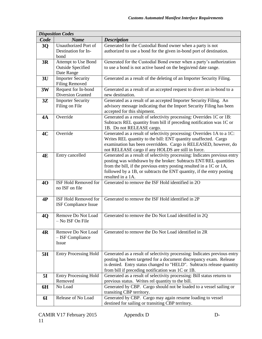|           | <b>Disposition Codes</b>     |                                                                                                                                                |  |  |
|-----------|------------------------------|------------------------------------------------------------------------------------------------------------------------------------------------|--|--|
| Code      | <b>Name</b>                  | <b>Description</b>                                                                                                                             |  |  |
| 3Q        | Unauthorized Port of         | Generated for the Custodial Bond owner when a party is not                                                                                     |  |  |
|           | Destination for In-          | authorized to use a bond for the given in-bond port of destination.                                                                            |  |  |
|           | bond                         |                                                                                                                                                |  |  |
| 3R        | Attempt to Use Bond          | Generated for the Custodial Bond owner when a party's authorization                                                                            |  |  |
|           | <b>Outside Specified</b>     | to use a bond is not active based on the begin/end date range.                                                                                 |  |  |
|           | Date Range                   |                                                                                                                                                |  |  |
| 3U        | <b>Importer Security</b>     | Generated as a result of the deleting of an Importer Security Filing.                                                                          |  |  |
|           | <b>Filing Removed</b>        |                                                                                                                                                |  |  |
| 3W        | Request for In-bond          | Generated as a result of an accepted request to divert an in-bond to a                                                                         |  |  |
|           | <b>Diversion Granted</b>     | new destination.                                                                                                                               |  |  |
| 3Z        | <b>Importer Security</b>     | Generated as a result of an accepted Importer Security Filing. An                                                                              |  |  |
|           | Filing on File               | advisory message indicating that the Import Security Filing has been                                                                           |  |  |
|           |                              | accepted for this shipment.                                                                                                                    |  |  |
| 4A        | Override                     | Generated as a result of selectivity processing: Overrides 1C or 1B:                                                                           |  |  |
|           |                              | Subtracts REL quantity from bill if preceding notification was 1C or                                                                           |  |  |
|           |                              | 1B. Do not RELEASE cargo.                                                                                                                      |  |  |
| 4C        | Override                     | Generated as a result of selectivity processing: Overrides 1A to a 1C:                                                                         |  |  |
|           |                              | Writes REL quantity to the bill: ENT quantity unaffected. Cargo                                                                                |  |  |
|           |                              | examination has been overridden. Cargo is RELEASED, however, do                                                                                |  |  |
|           |                              | not RELEASE cargo if any HOLDS are still in force.                                                                                             |  |  |
| 4E        | Entry cancelled              | Generated as a result of selectivity processing: Indicates previous entry<br>posting was withdrawn by the broker: Subtracts ENT/REL quantities |  |  |
|           |                              | from the bill, if the previous entry posting resulted in a 1C or 1A,                                                                           |  |  |
|           |                              | followed by a 1B, or subtracts the ENT quantity, if the entry posting                                                                          |  |  |
|           |                              | resulted in a 1A.                                                                                                                              |  |  |
| 40        | ISF Hold Removed for         | Generated to remove the ISF Hold identified in 2O                                                                                              |  |  |
|           | no ISF on file               |                                                                                                                                                |  |  |
|           |                              |                                                                                                                                                |  |  |
| 4P        | ISF Hold Removed for         | Generated to remove the ISF Hold identified in 2P                                                                                              |  |  |
|           | <b>ISF Compliance Issue</b>  |                                                                                                                                                |  |  |
|           |                              |                                                                                                                                                |  |  |
| 4Q        | Remove Do Not Load           | Generated to remove the Do Not Load identified in 2Q                                                                                           |  |  |
|           | - No ISF On File             |                                                                                                                                                |  |  |
|           |                              |                                                                                                                                                |  |  |
| 4R        | Remove Do Not Load           | Generated to remove the Do Not Load identified in 2R                                                                                           |  |  |
|           | - ISF Compliance             |                                                                                                                                                |  |  |
|           | Issue                        |                                                                                                                                                |  |  |
|           |                              |                                                                                                                                                |  |  |
| 5H        | <b>Entry Processing Hold</b> | Generated as a result of selectivity processing: Indicates previous entry                                                                      |  |  |
|           |                              | posting has been targeted for a document discrepancy exam. Release                                                                             |  |  |
|           |                              | is denied. Entry status changed to "HELD". Subtracts release quantity                                                                          |  |  |
|           |                              | from bill if preceding notification was 1C or 1B.                                                                                              |  |  |
| 5I        | <b>Entry Processing Hold</b> | Generated as a result of selectivity processing: Bill status returns to                                                                        |  |  |
|           | Removed                      | previous status. Writes rel quantity to the bill.                                                                                              |  |  |
| 6H        | No Load                      | Generated by CBP. Cargo should not be loaded to a vessel sailing or                                                                            |  |  |
|           |                              | transiting CBP territory.                                                                                                                      |  |  |
| <b>6I</b> | Release of No Load           | Generated by CBP. Cargo may again resume loading to vessel                                                                                     |  |  |
|           |                              | destined for sailing or transiting CBP territory.                                                                                              |  |  |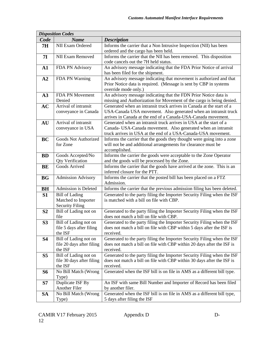|                | <b>Disposition Codes</b>             |                                                                                                                                         |
|----------------|--------------------------------------|-----------------------------------------------------------------------------------------------------------------------------------------|
| Code           | <b>Name</b>                          | <b>Description</b>                                                                                                                      |
| <b>7H</b>      | NII Exam Ordered                     | Informs the carrier that a Non Intrusive Inspection (NII) has been                                                                      |
|                |                                      | ordered and the cargo has been held.                                                                                                    |
| <b>7I</b>      | <b>NII Exam Removed</b>              | Informs the carrier that the NII has been removed. This disposition                                                                     |
|                |                                      | code cancels out the 7H held status.                                                                                                    |
| ${\bf A1}$     | FDA PN Advisory                      | An advisory message indicating that the FDA Prior Notice of arrival                                                                     |
|                |                                      | has been filed for the shipment.                                                                                                        |
| A2             | FDA PN Warning                       | An advisory message indicating that movement is authorized and that                                                                     |
|                |                                      | Prior Notice data is required. (Message is sent by CBP in systems                                                                       |
|                |                                      | override mode only.)                                                                                                                    |
| A3             | FDA PN Movement                      | An advisory message indicating that the FDN Prior Notice data is                                                                        |
|                | Denied                               | missing and Authorization for Movement of the cargo is being denied.                                                                    |
| <b>AC</b>      | Arrival of intransit                 | Generated when an intransit truck arrives in Canada at the start of a                                                                   |
|                | conveyance in Canada                 | USA-Canada USA movement. Also generated when an intransit truck                                                                         |
|                |                                      | arrives in Canada at the end of a Canada-USA-Canada movement.                                                                           |
| AU             | Arrival of intransit                 | Generated when an intransit truck arrives in USA at the start of a                                                                      |
|                | conveyance in USA                    | Canada- USA-Canada movement. Also generated when an intransit<br>truck arrives in USA at the end of a USA-Canada-USA movement.          |
|                | Goods Not Authorized                 |                                                                                                                                         |
| <b>BC</b>      | for Zone                             | Informs the carrier that the goods they thought were going into a zone<br>will not be and additional arrangements for clearance must be |
|                |                                      | accomplished.                                                                                                                           |
| <b>BD</b>      | Goods Accepted/No                    | Informs the carrier the goods were acceptable to the Zone Operator                                                                      |
|                | <b>Qty Verification</b>              | and the goods will be processed by the Zone.                                                                                            |
| <b>BE</b>      | Goods Arrived                        | Informs the carrier that the goods have arrived at the zone. This is an                                                                 |
|                |                                      | inferred closure for the PTT.                                                                                                           |
| <b>BG</b>      | <b>Admission Advisory</b>            | Informs the carrier that the posted bill has been placed on a FTZ                                                                       |
|                |                                      | Admission.                                                                                                                              |
| <b>BH</b>      | Admission is Deleted                 | Informs the carrier that the previous admission filing has been deleted.                                                                |
| S1             | <b>Bill of Lading</b>                | Generated to the party filing the Importer Security Filing when the ISF                                                                 |
|                | Matched to Importer                  | is matched with a bill on file with CBP.                                                                                                |
|                | <b>Security Filing</b>               |                                                                                                                                         |
| S <sub>2</sub> | Bill of Lading not on                | Generated to the party filing the Importer Security Filing when the ISF                                                                 |
|                | file                                 | does not match a bill on file with CBP.                                                                                                 |
| S <sub>3</sub> | Bill of Lading not on                | Generated to the party filing the Importer Security Filing when the ISF                                                                 |
|                | file 5 days after filing             | does not match a bill on file with CBP within 5 days after the ISF is                                                                   |
|                | the ISF                              | received.                                                                                                                               |
| <b>S4</b>      | Bill of Lading not on                | Generated to the party filing the Importer Security Filing when the ISF                                                                 |
|                | file 20 days after filing<br>the ISF | does not match a bill on file with CBP within 20 days after the ISF is<br>received.                                                     |
| S <sub>5</sub> | Bill of Lading not on                | Generated to the party filing the Importer Security Filing when the ISF                                                                 |
|                | file 30 days after filing            | does not match a bill on file with CBP within 30 days after the ISF is                                                                  |
|                | the ISF                              | received.                                                                                                                               |
| <b>S6</b>      | No Bill Match (Wrong                 | Generated when the ISF bill is on file in AMS as a different bill type.                                                                 |
|                | Type)                                |                                                                                                                                         |
| S7             | Duplicate ISF By                     | An ISF with same Bill Number and Importer of Record has been filed                                                                      |
|                | Another Filer                        | by another filer.                                                                                                                       |
| <b>SA</b>      | No Bill Match (Wrong                 | Generated when the ISF bill is on file in AMS as a different bill type,                                                                 |
|                | Type)                                | 5 days after filing the ISF                                                                                                             |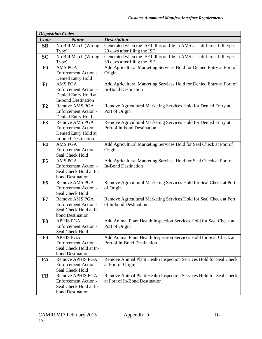| Code<br><b>Name</b><br><b>Description</b><br>No Bill Match (Wrong<br>Generated when the ISF bill is on file in AMS as a different bill type,<br>SB<br>20 days after filing the ISF<br>Type)<br>No Bill Match (Wrong<br>Generated when the ISF bill is on file in AMS as a different bill type,<br><b>SC</b><br>30 days after filing the ISF<br>Type)<br>Add Agricultural Marketing Services Hold for Denied Entry at Port of<br>AMS PGA<br>F <sub>0</sub><br>Enforcement Action -<br>Origin<br>Denied Entry Hold<br><b>AMS PGA</b><br>Add Agricultural Marketing Services Hold for Denied Entry at Port of<br>F1<br><b>In-Bond Destination</b><br>Enforcement Action -<br>Denied Entry Hold at<br><b>In-bond Destination</b><br>Remove Agricultural Marketing Services Hold for Denied Entry at<br>F2<br><b>Remove AMS PGA</b><br>Enforcement Action -<br>Port of Origin<br>Denied Entry Hold<br>Remove Agricultural Marketing Services Hold for Denied Entry at<br><b>Remove AMS PGA</b><br>F3<br>Port of In-bond Destination<br><b>Enforcement Action -</b><br>Denied Entry Hold at<br><b>In-bond Destination</b><br>Add Agricultural Marketing Services Hold for Seal Check at Port of<br><b>AMS PGA</b><br>F <sub>4</sub><br><b>Enforcement Action -</b><br>Origin<br>Seal Check Hold<br><b>AMS PGA</b><br>Add Agricultural Marketing Services Hold for Seal Check at Port of<br>F5<br><b>In-Bond Destination</b><br>Enforcement Action-<br>Seal Check Hold at In-<br>bond Destination<br>Remove Agricultural Marketing Services Hold for Seal Check at Port<br><b>Remove AMS PGA</b><br>F <sub>6</sub><br>Enforcement Action -<br>of Origin<br>Seal Check Hold<br>Remove Agricultural Marketing Services Hold for Seal Check at Port<br><b>Remove AMS PGA</b><br>F7<br>of In-bond Destination<br><b>Enforcement Action -</b><br>Seal Check Hold at In-<br>bond Destination<br>Add Animal Plant Health Inspection Services Hold for Seal Check at<br>F8<br><b>APHIS PGA</b><br>Enforcement Action -<br>Port of Origin<br>Seal Check Hold<br>F9<br><b>APHIS PGA</b><br>Add Animal Plant Health Inspection Services Hold for Seal Check at | <b>Disposition Codes</b> |  |
|----------------------------------------------------------------------------------------------------------------------------------------------------------------------------------------------------------------------------------------------------------------------------------------------------------------------------------------------------------------------------------------------------------------------------------------------------------------------------------------------------------------------------------------------------------------------------------------------------------------------------------------------------------------------------------------------------------------------------------------------------------------------------------------------------------------------------------------------------------------------------------------------------------------------------------------------------------------------------------------------------------------------------------------------------------------------------------------------------------------------------------------------------------------------------------------------------------------------------------------------------------------------------------------------------------------------------------------------------------------------------------------------------------------------------------------------------------------------------------------------------------------------------------------------------------------------------------------------------------------------------------------------------------------------------------------------------------------------------------------------------------------------------------------------------------------------------------------------------------------------------------------------------------------------------------------------------------------------------------------------------------------------------------------------------------------------------------------------------------------------------------------------|--------------------------|--|
|                                                                                                                                                                                                                                                                                                                                                                                                                                                                                                                                                                                                                                                                                                                                                                                                                                                                                                                                                                                                                                                                                                                                                                                                                                                                                                                                                                                                                                                                                                                                                                                                                                                                                                                                                                                                                                                                                                                                                                                                                                                                                                                                              |                          |  |
|                                                                                                                                                                                                                                                                                                                                                                                                                                                                                                                                                                                                                                                                                                                                                                                                                                                                                                                                                                                                                                                                                                                                                                                                                                                                                                                                                                                                                                                                                                                                                                                                                                                                                                                                                                                                                                                                                                                                                                                                                                                                                                                                              |                          |  |
|                                                                                                                                                                                                                                                                                                                                                                                                                                                                                                                                                                                                                                                                                                                                                                                                                                                                                                                                                                                                                                                                                                                                                                                                                                                                                                                                                                                                                                                                                                                                                                                                                                                                                                                                                                                                                                                                                                                                                                                                                                                                                                                                              |                          |  |
|                                                                                                                                                                                                                                                                                                                                                                                                                                                                                                                                                                                                                                                                                                                                                                                                                                                                                                                                                                                                                                                                                                                                                                                                                                                                                                                                                                                                                                                                                                                                                                                                                                                                                                                                                                                                                                                                                                                                                                                                                                                                                                                                              |                          |  |
|                                                                                                                                                                                                                                                                                                                                                                                                                                                                                                                                                                                                                                                                                                                                                                                                                                                                                                                                                                                                                                                                                                                                                                                                                                                                                                                                                                                                                                                                                                                                                                                                                                                                                                                                                                                                                                                                                                                                                                                                                                                                                                                                              |                          |  |
|                                                                                                                                                                                                                                                                                                                                                                                                                                                                                                                                                                                                                                                                                                                                                                                                                                                                                                                                                                                                                                                                                                                                                                                                                                                                                                                                                                                                                                                                                                                                                                                                                                                                                                                                                                                                                                                                                                                                                                                                                                                                                                                                              |                          |  |
|                                                                                                                                                                                                                                                                                                                                                                                                                                                                                                                                                                                                                                                                                                                                                                                                                                                                                                                                                                                                                                                                                                                                                                                                                                                                                                                                                                                                                                                                                                                                                                                                                                                                                                                                                                                                                                                                                                                                                                                                                                                                                                                                              |                          |  |
|                                                                                                                                                                                                                                                                                                                                                                                                                                                                                                                                                                                                                                                                                                                                                                                                                                                                                                                                                                                                                                                                                                                                                                                                                                                                                                                                                                                                                                                                                                                                                                                                                                                                                                                                                                                                                                                                                                                                                                                                                                                                                                                                              |                          |  |
|                                                                                                                                                                                                                                                                                                                                                                                                                                                                                                                                                                                                                                                                                                                                                                                                                                                                                                                                                                                                                                                                                                                                                                                                                                                                                                                                                                                                                                                                                                                                                                                                                                                                                                                                                                                                                                                                                                                                                                                                                                                                                                                                              |                          |  |
|                                                                                                                                                                                                                                                                                                                                                                                                                                                                                                                                                                                                                                                                                                                                                                                                                                                                                                                                                                                                                                                                                                                                                                                                                                                                                                                                                                                                                                                                                                                                                                                                                                                                                                                                                                                                                                                                                                                                                                                                                                                                                                                                              |                          |  |
|                                                                                                                                                                                                                                                                                                                                                                                                                                                                                                                                                                                                                                                                                                                                                                                                                                                                                                                                                                                                                                                                                                                                                                                                                                                                                                                                                                                                                                                                                                                                                                                                                                                                                                                                                                                                                                                                                                                                                                                                                                                                                                                                              |                          |  |
|                                                                                                                                                                                                                                                                                                                                                                                                                                                                                                                                                                                                                                                                                                                                                                                                                                                                                                                                                                                                                                                                                                                                                                                                                                                                                                                                                                                                                                                                                                                                                                                                                                                                                                                                                                                                                                                                                                                                                                                                                                                                                                                                              |                          |  |
|                                                                                                                                                                                                                                                                                                                                                                                                                                                                                                                                                                                                                                                                                                                                                                                                                                                                                                                                                                                                                                                                                                                                                                                                                                                                                                                                                                                                                                                                                                                                                                                                                                                                                                                                                                                                                                                                                                                                                                                                                                                                                                                                              |                          |  |
|                                                                                                                                                                                                                                                                                                                                                                                                                                                                                                                                                                                                                                                                                                                                                                                                                                                                                                                                                                                                                                                                                                                                                                                                                                                                                                                                                                                                                                                                                                                                                                                                                                                                                                                                                                                                                                                                                                                                                                                                                                                                                                                                              |                          |  |
|                                                                                                                                                                                                                                                                                                                                                                                                                                                                                                                                                                                                                                                                                                                                                                                                                                                                                                                                                                                                                                                                                                                                                                                                                                                                                                                                                                                                                                                                                                                                                                                                                                                                                                                                                                                                                                                                                                                                                                                                                                                                                                                                              |                          |  |
|                                                                                                                                                                                                                                                                                                                                                                                                                                                                                                                                                                                                                                                                                                                                                                                                                                                                                                                                                                                                                                                                                                                                                                                                                                                                                                                                                                                                                                                                                                                                                                                                                                                                                                                                                                                                                                                                                                                                                                                                                                                                                                                                              |                          |  |
|                                                                                                                                                                                                                                                                                                                                                                                                                                                                                                                                                                                                                                                                                                                                                                                                                                                                                                                                                                                                                                                                                                                                                                                                                                                                                                                                                                                                                                                                                                                                                                                                                                                                                                                                                                                                                                                                                                                                                                                                                                                                                                                                              |                          |  |
|                                                                                                                                                                                                                                                                                                                                                                                                                                                                                                                                                                                                                                                                                                                                                                                                                                                                                                                                                                                                                                                                                                                                                                                                                                                                                                                                                                                                                                                                                                                                                                                                                                                                                                                                                                                                                                                                                                                                                                                                                                                                                                                                              |                          |  |
|                                                                                                                                                                                                                                                                                                                                                                                                                                                                                                                                                                                                                                                                                                                                                                                                                                                                                                                                                                                                                                                                                                                                                                                                                                                                                                                                                                                                                                                                                                                                                                                                                                                                                                                                                                                                                                                                                                                                                                                                                                                                                                                                              |                          |  |
|                                                                                                                                                                                                                                                                                                                                                                                                                                                                                                                                                                                                                                                                                                                                                                                                                                                                                                                                                                                                                                                                                                                                                                                                                                                                                                                                                                                                                                                                                                                                                                                                                                                                                                                                                                                                                                                                                                                                                                                                                                                                                                                                              |                          |  |
|                                                                                                                                                                                                                                                                                                                                                                                                                                                                                                                                                                                                                                                                                                                                                                                                                                                                                                                                                                                                                                                                                                                                                                                                                                                                                                                                                                                                                                                                                                                                                                                                                                                                                                                                                                                                                                                                                                                                                                                                                                                                                                                                              |                          |  |
|                                                                                                                                                                                                                                                                                                                                                                                                                                                                                                                                                                                                                                                                                                                                                                                                                                                                                                                                                                                                                                                                                                                                                                                                                                                                                                                                                                                                                                                                                                                                                                                                                                                                                                                                                                                                                                                                                                                                                                                                                                                                                                                                              |                          |  |
|                                                                                                                                                                                                                                                                                                                                                                                                                                                                                                                                                                                                                                                                                                                                                                                                                                                                                                                                                                                                                                                                                                                                                                                                                                                                                                                                                                                                                                                                                                                                                                                                                                                                                                                                                                                                                                                                                                                                                                                                                                                                                                                                              |                          |  |
|                                                                                                                                                                                                                                                                                                                                                                                                                                                                                                                                                                                                                                                                                                                                                                                                                                                                                                                                                                                                                                                                                                                                                                                                                                                                                                                                                                                                                                                                                                                                                                                                                                                                                                                                                                                                                                                                                                                                                                                                                                                                                                                                              |                          |  |
|                                                                                                                                                                                                                                                                                                                                                                                                                                                                                                                                                                                                                                                                                                                                                                                                                                                                                                                                                                                                                                                                                                                                                                                                                                                                                                                                                                                                                                                                                                                                                                                                                                                                                                                                                                                                                                                                                                                                                                                                                                                                                                                                              |                          |  |
|                                                                                                                                                                                                                                                                                                                                                                                                                                                                                                                                                                                                                                                                                                                                                                                                                                                                                                                                                                                                                                                                                                                                                                                                                                                                                                                                                                                                                                                                                                                                                                                                                                                                                                                                                                                                                                                                                                                                                                                                                                                                                                                                              |                          |  |
|                                                                                                                                                                                                                                                                                                                                                                                                                                                                                                                                                                                                                                                                                                                                                                                                                                                                                                                                                                                                                                                                                                                                                                                                                                                                                                                                                                                                                                                                                                                                                                                                                                                                                                                                                                                                                                                                                                                                                                                                                                                                                                                                              |                          |  |
|                                                                                                                                                                                                                                                                                                                                                                                                                                                                                                                                                                                                                                                                                                                                                                                                                                                                                                                                                                                                                                                                                                                                                                                                                                                                                                                                                                                                                                                                                                                                                                                                                                                                                                                                                                                                                                                                                                                                                                                                                                                                                                                                              |                          |  |
|                                                                                                                                                                                                                                                                                                                                                                                                                                                                                                                                                                                                                                                                                                                                                                                                                                                                                                                                                                                                                                                                                                                                                                                                                                                                                                                                                                                                                                                                                                                                                                                                                                                                                                                                                                                                                                                                                                                                                                                                                                                                                                                                              |                          |  |
|                                                                                                                                                                                                                                                                                                                                                                                                                                                                                                                                                                                                                                                                                                                                                                                                                                                                                                                                                                                                                                                                                                                                                                                                                                                                                                                                                                                                                                                                                                                                                                                                                                                                                                                                                                                                                                                                                                                                                                                                                                                                                                                                              |                          |  |
|                                                                                                                                                                                                                                                                                                                                                                                                                                                                                                                                                                                                                                                                                                                                                                                                                                                                                                                                                                                                                                                                                                                                                                                                                                                                                                                                                                                                                                                                                                                                                                                                                                                                                                                                                                                                                                                                                                                                                                                                                                                                                                                                              |                          |  |
|                                                                                                                                                                                                                                                                                                                                                                                                                                                                                                                                                                                                                                                                                                                                                                                                                                                                                                                                                                                                                                                                                                                                                                                                                                                                                                                                                                                                                                                                                                                                                                                                                                                                                                                                                                                                                                                                                                                                                                                                                                                                                                                                              |                          |  |
|                                                                                                                                                                                                                                                                                                                                                                                                                                                                                                                                                                                                                                                                                                                                                                                                                                                                                                                                                                                                                                                                                                                                                                                                                                                                                                                                                                                                                                                                                                                                                                                                                                                                                                                                                                                                                                                                                                                                                                                                                                                                                                                                              |                          |  |
|                                                                                                                                                                                                                                                                                                                                                                                                                                                                                                                                                                                                                                                                                                                                                                                                                                                                                                                                                                                                                                                                                                                                                                                                                                                                                                                                                                                                                                                                                                                                                                                                                                                                                                                                                                                                                                                                                                                                                                                                                                                                                                                                              |                          |  |
|                                                                                                                                                                                                                                                                                                                                                                                                                                                                                                                                                                                                                                                                                                                                                                                                                                                                                                                                                                                                                                                                                                                                                                                                                                                                                                                                                                                                                                                                                                                                                                                                                                                                                                                                                                                                                                                                                                                                                                                                                                                                                                                                              |                          |  |
|                                                                                                                                                                                                                                                                                                                                                                                                                                                                                                                                                                                                                                                                                                                                                                                                                                                                                                                                                                                                                                                                                                                                                                                                                                                                                                                                                                                                                                                                                                                                                                                                                                                                                                                                                                                                                                                                                                                                                                                                                                                                                                                                              |                          |  |
| <b>Enforcement Action -</b><br>Port of In-Bond Destination                                                                                                                                                                                                                                                                                                                                                                                                                                                                                                                                                                                                                                                                                                                                                                                                                                                                                                                                                                                                                                                                                                                                                                                                                                                                                                                                                                                                                                                                                                                                                                                                                                                                                                                                                                                                                                                                                                                                                                                                                                                                                   |                          |  |
| Seal Check Hold at In-                                                                                                                                                                                                                                                                                                                                                                                                                                                                                                                                                                                                                                                                                                                                                                                                                                                                                                                                                                                                                                                                                                                                                                                                                                                                                                                                                                                                                                                                                                                                                                                                                                                                                                                                                                                                                                                                                                                                                                                                                                                                                                                       |                          |  |
| bond Destination                                                                                                                                                                                                                                                                                                                                                                                                                                                                                                                                                                                                                                                                                                                                                                                                                                                                                                                                                                                                                                                                                                                                                                                                                                                                                                                                                                                                                                                                                                                                                                                                                                                                                                                                                                                                                                                                                                                                                                                                                                                                                                                             |                          |  |
| <b>Remove APHIS PGA</b><br>Remove Animal Plant Health Inspection Services Hold for Seal Check<br>FA                                                                                                                                                                                                                                                                                                                                                                                                                                                                                                                                                                                                                                                                                                                                                                                                                                                                                                                                                                                                                                                                                                                                                                                                                                                                                                                                                                                                                                                                                                                                                                                                                                                                                                                                                                                                                                                                                                                                                                                                                                          |                          |  |
| Enforcement Action -<br>at Port of Origin<br>Seal Check Hold                                                                                                                                                                                                                                                                                                                                                                                                                                                                                                                                                                                                                                                                                                                                                                                                                                                                                                                                                                                                                                                                                                                                                                                                                                                                                                                                                                                                                                                                                                                                                                                                                                                                                                                                                                                                                                                                                                                                                                                                                                                                                 |                          |  |
| Remove Animal Plant Health Inspection Services Hold for Seal Check<br><b>Remove APHIS PGA</b><br><b>FB</b>                                                                                                                                                                                                                                                                                                                                                                                                                                                                                                                                                                                                                                                                                                                                                                                                                                                                                                                                                                                                                                                                                                                                                                                                                                                                                                                                                                                                                                                                                                                                                                                                                                                                                                                                                                                                                                                                                                                                                                                                                                   |                          |  |
| at Port of In-Bond Destination<br><b>Enforcement Action -</b>                                                                                                                                                                                                                                                                                                                                                                                                                                                                                                                                                                                                                                                                                                                                                                                                                                                                                                                                                                                                                                                                                                                                                                                                                                                                                                                                                                                                                                                                                                                                                                                                                                                                                                                                                                                                                                                                                                                                                                                                                                                                                |                          |  |
| Seal Check Hold at In-                                                                                                                                                                                                                                                                                                                                                                                                                                                                                                                                                                                                                                                                                                                                                                                                                                                                                                                                                                                                                                                                                                                                                                                                                                                                                                                                                                                                                                                                                                                                                                                                                                                                                                                                                                                                                                                                                                                                                                                                                                                                                                                       |                          |  |
| bond Destination                                                                                                                                                                                                                                                                                                                                                                                                                                                                                                                                                                                                                                                                                                                                                                                                                                                                                                                                                                                                                                                                                                                                                                                                                                                                                                                                                                                                                                                                                                                                                                                                                                                                                                                                                                                                                                                                                                                                                                                                                                                                                                                             |                          |  |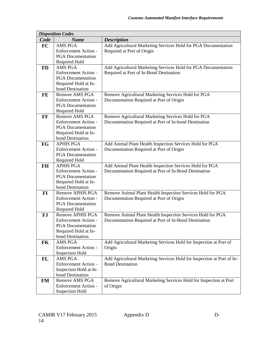|           | <b>Disposition Codes</b>                                |                                                                        |
|-----------|---------------------------------------------------------|------------------------------------------------------------------------|
| Code      | <b>Name</b>                                             | <b>Description</b>                                                     |
| FC        | <b>AMS PGA</b>                                          | Add Agricultural Marketing Services Hold for PGA Documentation         |
|           | Enforcement Action -                                    | Required at Port of Origin                                             |
|           | <b>PGA</b> Documentation                                |                                                                        |
|           | Required Hold                                           |                                                                        |
| <b>FD</b> | <b>AMS PGA</b>                                          | Add Agricultural Marketing Services Hold for PGA Documentation         |
|           | Enforcement Action-                                     | Required at Port of In-Bond Destination                                |
|           | <b>PGA</b> Documentation                                |                                                                        |
|           | Required Hold at In-                                    |                                                                        |
|           | bond Destination                                        |                                                                        |
| FE        | <b>Remove AMS PGA</b>                                   | Remove Agricultural Marketing Services Hold for PGA                    |
|           | <b>Enforcement Action -</b>                             | Documentation Required at Port of Origin                               |
|           | <b>PGA</b> Documentation                                |                                                                        |
|           | Required Hold                                           |                                                                        |
| FF        | Remove AMS PGA                                          | Remove Agricultural Marketing Services Hold for PGA                    |
|           | <b>Enforcement Action -</b>                             | Documentation Required at Port of In-bond Destination                  |
|           | <b>PGA</b> Documentation                                |                                                                        |
|           | Required Hold at In-                                    |                                                                        |
|           | bond Destination                                        |                                                                        |
| FG        | <b>APHIS PGA</b>                                        | Add Animal Plant Health Inspection Services Hold for PGA               |
|           | <b>Enforcement Action -</b><br><b>PGA</b> Documentation | Documentation Required at Port of Origin                               |
|           |                                                         |                                                                        |
| <b>FH</b> | Required Hold<br><b>APHIS PGA</b>                       | Add Animal Plant Health Inspection Services Hold for PGA               |
|           | <b>Enforcement Action -</b>                             | Documentation Required at Port of In-Bond Destination                  |
|           | <b>PGA</b> Documentation                                |                                                                        |
|           | Required Hold at In-                                    |                                                                        |
|           | bond Destination                                        |                                                                        |
| FI        | <b>Remove APHIS PGA</b>                                 | Remove Animal Plant Health Inspection Services Hold for PGA            |
|           | <b>Enforcement Action -</b>                             | Documentation Required at Port of Origin                               |
|           | <b>PGA</b> Documentation                                |                                                                        |
|           | Required Hold                                           |                                                                        |
| <b>FJ</b> | <b>Remove APHIS PGA</b>                                 | Remove Animal Plant Health Inspection Services Hold for PGA            |
|           | Enforcement Action -                                    | Documentation Required at Port of In-Bond Destination                  |
|           | <b>PGA</b> Documentation                                |                                                                        |
|           | Required Hold at In-                                    |                                                                        |
|           | bond Destination                                        |                                                                        |
| <b>FK</b> | <b>AMS PGA</b>                                          | Add Agricultural Marketing Services Hold for Inspection at Port of     |
|           | Enforcement Action -                                    | Origin                                                                 |
|           | <b>Inspection Hold</b>                                  |                                                                        |
| FL        | AMS PGA                                                 | Add Agricultural Marketing Services Hold for Inspection at Port of In- |
|           | Enforcement Action -                                    | <b>Bond Destination</b>                                                |
|           | Inspection Hold at In-                                  |                                                                        |
|           | bond Destination                                        |                                                                        |
| <b>FM</b> | <b>Remove AMS PGA</b>                                   | Remove Agricultural Marketing Services Hold for Inspection at Port     |
|           | Enforcement Action -                                    | of Origin                                                              |
|           | <b>Inspection Hold</b>                                  |                                                                        |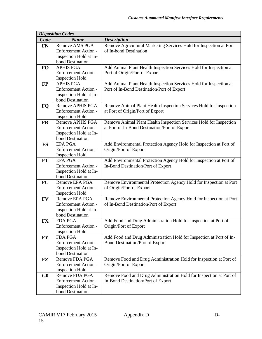| Code<br><b>Description</b><br><b>Name</b><br>Remove Agricultural Marketing Services Hold for Inspection at Port<br><b>Remove AMS PGA</b><br><b>FN</b><br>of In-bond Destination<br><b>Enforcement Action -</b><br>Inspection Hold at In-<br>bond Destination<br><b>APHIS PGA</b><br>Add Animal Plant Health Inspection Services Hold for Inspection at<br><b>FO</b><br><b>Enforcement Action -</b><br>Port of Origin/Port of Export<br><b>Inspection Hold</b><br><b>APHIS PGA</b><br>Add Animal Plant Health Inspection Services Hold for Inspection at<br>$\bf FP$<br><b>Enforcement Action -</b><br>Port of In-Bond Destination/Port of Export<br>Inspection Hold at In-<br>bond Destination<br><b>Remove APHIS PGA</b><br>Remove Animal Plant Health Inspection Services Hold for Inspection<br>FQ<br>Enforcement Action -<br>at Port of Origin/Port of Export<br><b>Inspection Hold</b><br><b>FR</b><br><b>Remove APHIS PGA</b><br>Remove Animal Plant Health Inspection Services Hold for Inspection<br>Enforcement Action -<br>at Port of In-Bond Destination/Port of Export<br>Inspection Hold at In-<br>bond Destination<br>Add Environmental Protection Agency Hold for Inspection at Port of<br><b>FS</b><br><b>EPA PGA</b><br><b>Enforcement Action -</b><br>Origin/Port of Export<br><b>Inspection Hold</b><br><b>EPA PGA</b><br><b>FT</b><br>Add Environmental Protection Agency Hold for Inspection at Port of<br><b>Enforcement Action -</b><br>In-Bond Destination/Port of Export<br>Inspection Hold at In-<br>bond Destination<br>Remove Environmental Protection Agency Hold for Inspection at Port<br>FU<br>Remove EPA PGA<br>Enforcement Action -<br>of Origin/Port of Export<br><b>Inspection Hold</b><br><b>FV</b><br>Remove EPA PGA<br>Remove Environmental Protection Agency Hold for Inspection at Port<br><b>Enforcement Action -</b><br>of In-Bond Destination/Port of Export<br>Inspection Hold at In-<br>bond Destination<br>Add Food and Drug Administration Hold for Inspection at Port of<br>FX<br>FDA PGA<br>Origin/Port of Export<br><b>Enforcement Action -</b><br><b>Inspection Hold</b><br>Add Food and Drug Administration Hold for Inspection at Port of In-<br><b>FY</b><br><b>FDA PGA</b> |
|------------------------------------------------------------------------------------------------------------------------------------------------------------------------------------------------------------------------------------------------------------------------------------------------------------------------------------------------------------------------------------------------------------------------------------------------------------------------------------------------------------------------------------------------------------------------------------------------------------------------------------------------------------------------------------------------------------------------------------------------------------------------------------------------------------------------------------------------------------------------------------------------------------------------------------------------------------------------------------------------------------------------------------------------------------------------------------------------------------------------------------------------------------------------------------------------------------------------------------------------------------------------------------------------------------------------------------------------------------------------------------------------------------------------------------------------------------------------------------------------------------------------------------------------------------------------------------------------------------------------------------------------------------------------------------------------------------------------------------------------------------------------------------------------------------------------------------------------------------------------------------------------------------------------------------------------------------------------------------------------------------------------------------------------------------------------------------------------------------------------------------------------------------------------------------------------------------------------------------|
|                                                                                                                                                                                                                                                                                                                                                                                                                                                                                                                                                                                                                                                                                                                                                                                                                                                                                                                                                                                                                                                                                                                                                                                                                                                                                                                                                                                                                                                                                                                                                                                                                                                                                                                                                                                                                                                                                                                                                                                                                                                                                                                                                                                                                                    |
|                                                                                                                                                                                                                                                                                                                                                                                                                                                                                                                                                                                                                                                                                                                                                                                                                                                                                                                                                                                                                                                                                                                                                                                                                                                                                                                                                                                                                                                                                                                                                                                                                                                                                                                                                                                                                                                                                                                                                                                                                                                                                                                                                                                                                                    |
|                                                                                                                                                                                                                                                                                                                                                                                                                                                                                                                                                                                                                                                                                                                                                                                                                                                                                                                                                                                                                                                                                                                                                                                                                                                                                                                                                                                                                                                                                                                                                                                                                                                                                                                                                                                                                                                                                                                                                                                                                                                                                                                                                                                                                                    |
|                                                                                                                                                                                                                                                                                                                                                                                                                                                                                                                                                                                                                                                                                                                                                                                                                                                                                                                                                                                                                                                                                                                                                                                                                                                                                                                                                                                                                                                                                                                                                                                                                                                                                                                                                                                                                                                                                                                                                                                                                                                                                                                                                                                                                                    |
|                                                                                                                                                                                                                                                                                                                                                                                                                                                                                                                                                                                                                                                                                                                                                                                                                                                                                                                                                                                                                                                                                                                                                                                                                                                                                                                                                                                                                                                                                                                                                                                                                                                                                                                                                                                                                                                                                                                                                                                                                                                                                                                                                                                                                                    |
|                                                                                                                                                                                                                                                                                                                                                                                                                                                                                                                                                                                                                                                                                                                                                                                                                                                                                                                                                                                                                                                                                                                                                                                                                                                                                                                                                                                                                                                                                                                                                                                                                                                                                                                                                                                                                                                                                                                                                                                                                                                                                                                                                                                                                                    |
|                                                                                                                                                                                                                                                                                                                                                                                                                                                                                                                                                                                                                                                                                                                                                                                                                                                                                                                                                                                                                                                                                                                                                                                                                                                                                                                                                                                                                                                                                                                                                                                                                                                                                                                                                                                                                                                                                                                                                                                                                                                                                                                                                                                                                                    |
|                                                                                                                                                                                                                                                                                                                                                                                                                                                                                                                                                                                                                                                                                                                                                                                                                                                                                                                                                                                                                                                                                                                                                                                                                                                                                                                                                                                                                                                                                                                                                                                                                                                                                                                                                                                                                                                                                                                                                                                                                                                                                                                                                                                                                                    |
|                                                                                                                                                                                                                                                                                                                                                                                                                                                                                                                                                                                                                                                                                                                                                                                                                                                                                                                                                                                                                                                                                                                                                                                                                                                                                                                                                                                                                                                                                                                                                                                                                                                                                                                                                                                                                                                                                                                                                                                                                                                                                                                                                                                                                                    |
|                                                                                                                                                                                                                                                                                                                                                                                                                                                                                                                                                                                                                                                                                                                                                                                                                                                                                                                                                                                                                                                                                                                                                                                                                                                                                                                                                                                                                                                                                                                                                                                                                                                                                                                                                                                                                                                                                                                                                                                                                                                                                                                                                                                                                                    |
|                                                                                                                                                                                                                                                                                                                                                                                                                                                                                                                                                                                                                                                                                                                                                                                                                                                                                                                                                                                                                                                                                                                                                                                                                                                                                                                                                                                                                                                                                                                                                                                                                                                                                                                                                                                                                                                                                                                                                                                                                                                                                                                                                                                                                                    |
|                                                                                                                                                                                                                                                                                                                                                                                                                                                                                                                                                                                                                                                                                                                                                                                                                                                                                                                                                                                                                                                                                                                                                                                                                                                                                                                                                                                                                                                                                                                                                                                                                                                                                                                                                                                                                                                                                                                                                                                                                                                                                                                                                                                                                                    |
|                                                                                                                                                                                                                                                                                                                                                                                                                                                                                                                                                                                                                                                                                                                                                                                                                                                                                                                                                                                                                                                                                                                                                                                                                                                                                                                                                                                                                                                                                                                                                                                                                                                                                                                                                                                                                                                                                                                                                                                                                                                                                                                                                                                                                                    |
|                                                                                                                                                                                                                                                                                                                                                                                                                                                                                                                                                                                                                                                                                                                                                                                                                                                                                                                                                                                                                                                                                                                                                                                                                                                                                                                                                                                                                                                                                                                                                                                                                                                                                                                                                                                                                                                                                                                                                                                                                                                                                                                                                                                                                                    |
|                                                                                                                                                                                                                                                                                                                                                                                                                                                                                                                                                                                                                                                                                                                                                                                                                                                                                                                                                                                                                                                                                                                                                                                                                                                                                                                                                                                                                                                                                                                                                                                                                                                                                                                                                                                                                                                                                                                                                                                                                                                                                                                                                                                                                                    |
|                                                                                                                                                                                                                                                                                                                                                                                                                                                                                                                                                                                                                                                                                                                                                                                                                                                                                                                                                                                                                                                                                                                                                                                                                                                                                                                                                                                                                                                                                                                                                                                                                                                                                                                                                                                                                                                                                                                                                                                                                                                                                                                                                                                                                                    |
|                                                                                                                                                                                                                                                                                                                                                                                                                                                                                                                                                                                                                                                                                                                                                                                                                                                                                                                                                                                                                                                                                                                                                                                                                                                                                                                                                                                                                                                                                                                                                                                                                                                                                                                                                                                                                                                                                                                                                                                                                                                                                                                                                                                                                                    |
|                                                                                                                                                                                                                                                                                                                                                                                                                                                                                                                                                                                                                                                                                                                                                                                                                                                                                                                                                                                                                                                                                                                                                                                                                                                                                                                                                                                                                                                                                                                                                                                                                                                                                                                                                                                                                                                                                                                                                                                                                                                                                                                                                                                                                                    |
|                                                                                                                                                                                                                                                                                                                                                                                                                                                                                                                                                                                                                                                                                                                                                                                                                                                                                                                                                                                                                                                                                                                                                                                                                                                                                                                                                                                                                                                                                                                                                                                                                                                                                                                                                                                                                                                                                                                                                                                                                                                                                                                                                                                                                                    |
|                                                                                                                                                                                                                                                                                                                                                                                                                                                                                                                                                                                                                                                                                                                                                                                                                                                                                                                                                                                                                                                                                                                                                                                                                                                                                                                                                                                                                                                                                                                                                                                                                                                                                                                                                                                                                                                                                                                                                                                                                                                                                                                                                                                                                                    |
|                                                                                                                                                                                                                                                                                                                                                                                                                                                                                                                                                                                                                                                                                                                                                                                                                                                                                                                                                                                                                                                                                                                                                                                                                                                                                                                                                                                                                                                                                                                                                                                                                                                                                                                                                                                                                                                                                                                                                                                                                                                                                                                                                                                                                                    |
|                                                                                                                                                                                                                                                                                                                                                                                                                                                                                                                                                                                                                                                                                                                                                                                                                                                                                                                                                                                                                                                                                                                                                                                                                                                                                                                                                                                                                                                                                                                                                                                                                                                                                                                                                                                                                                                                                                                                                                                                                                                                                                                                                                                                                                    |
|                                                                                                                                                                                                                                                                                                                                                                                                                                                                                                                                                                                                                                                                                                                                                                                                                                                                                                                                                                                                                                                                                                                                                                                                                                                                                                                                                                                                                                                                                                                                                                                                                                                                                                                                                                                                                                                                                                                                                                                                                                                                                                                                                                                                                                    |
|                                                                                                                                                                                                                                                                                                                                                                                                                                                                                                                                                                                                                                                                                                                                                                                                                                                                                                                                                                                                                                                                                                                                                                                                                                                                                                                                                                                                                                                                                                                                                                                                                                                                                                                                                                                                                                                                                                                                                                                                                                                                                                                                                                                                                                    |
|                                                                                                                                                                                                                                                                                                                                                                                                                                                                                                                                                                                                                                                                                                                                                                                                                                                                                                                                                                                                                                                                                                                                                                                                                                                                                                                                                                                                                                                                                                                                                                                                                                                                                                                                                                                                                                                                                                                                                                                                                                                                                                                                                                                                                                    |
|                                                                                                                                                                                                                                                                                                                                                                                                                                                                                                                                                                                                                                                                                                                                                                                                                                                                                                                                                                                                                                                                                                                                                                                                                                                                                                                                                                                                                                                                                                                                                                                                                                                                                                                                                                                                                                                                                                                                                                                                                                                                                                                                                                                                                                    |
|                                                                                                                                                                                                                                                                                                                                                                                                                                                                                                                                                                                                                                                                                                                                                                                                                                                                                                                                                                                                                                                                                                                                                                                                                                                                                                                                                                                                                                                                                                                                                                                                                                                                                                                                                                                                                                                                                                                                                                                                                                                                                                                                                                                                                                    |
|                                                                                                                                                                                                                                                                                                                                                                                                                                                                                                                                                                                                                                                                                                                                                                                                                                                                                                                                                                                                                                                                                                                                                                                                                                                                                                                                                                                                                                                                                                                                                                                                                                                                                                                                                                                                                                                                                                                                                                                                                                                                                                                                                                                                                                    |
|                                                                                                                                                                                                                                                                                                                                                                                                                                                                                                                                                                                                                                                                                                                                                                                                                                                                                                                                                                                                                                                                                                                                                                                                                                                                                                                                                                                                                                                                                                                                                                                                                                                                                                                                                                                                                                                                                                                                                                                                                                                                                                                                                                                                                                    |
|                                                                                                                                                                                                                                                                                                                                                                                                                                                                                                                                                                                                                                                                                                                                                                                                                                                                                                                                                                                                                                                                                                                                                                                                                                                                                                                                                                                                                                                                                                                                                                                                                                                                                                                                                                                                                                                                                                                                                                                                                                                                                                                                                                                                                                    |
|                                                                                                                                                                                                                                                                                                                                                                                                                                                                                                                                                                                                                                                                                                                                                                                                                                                                                                                                                                                                                                                                                                                                                                                                                                                                                                                                                                                                                                                                                                                                                                                                                                                                                                                                                                                                                                                                                                                                                                                                                                                                                                                                                                                                                                    |
|                                                                                                                                                                                                                                                                                                                                                                                                                                                                                                                                                                                                                                                                                                                                                                                                                                                                                                                                                                                                                                                                                                                                                                                                                                                                                                                                                                                                                                                                                                                                                                                                                                                                                                                                                                                                                                                                                                                                                                                                                                                                                                                                                                                                                                    |
|                                                                                                                                                                                                                                                                                                                                                                                                                                                                                                                                                                                                                                                                                                                                                                                                                                                                                                                                                                                                                                                                                                                                                                                                                                                                                                                                                                                                                                                                                                                                                                                                                                                                                                                                                                                                                                                                                                                                                                                                                                                                                                                                                                                                                                    |
|                                                                                                                                                                                                                                                                                                                                                                                                                                                                                                                                                                                                                                                                                                                                                                                                                                                                                                                                                                                                                                                                                                                                                                                                                                                                                                                                                                                                                                                                                                                                                                                                                                                                                                                                                                                                                                                                                                                                                                                                                                                                                                                                                                                                                                    |
|                                                                                                                                                                                                                                                                                                                                                                                                                                                                                                                                                                                                                                                                                                                                                                                                                                                                                                                                                                                                                                                                                                                                                                                                                                                                                                                                                                                                                                                                                                                                                                                                                                                                                                                                                                                                                                                                                                                                                                                                                                                                                                                                                                                                                                    |
|                                                                                                                                                                                                                                                                                                                                                                                                                                                                                                                                                                                                                                                                                                                                                                                                                                                                                                                                                                                                                                                                                                                                                                                                                                                                                                                                                                                                                                                                                                                                                                                                                                                                                                                                                                                                                                                                                                                                                                                                                                                                                                                                                                                                                                    |
| <b>Enforcement Action -</b><br><b>Bond Destination/Port of Export</b>                                                                                                                                                                                                                                                                                                                                                                                                                                                                                                                                                                                                                                                                                                                                                                                                                                                                                                                                                                                                                                                                                                                                                                                                                                                                                                                                                                                                                                                                                                                                                                                                                                                                                                                                                                                                                                                                                                                                                                                                                                                                                                                                                              |
| Inspection Hold at In-                                                                                                                                                                                                                                                                                                                                                                                                                                                                                                                                                                                                                                                                                                                                                                                                                                                                                                                                                                                                                                                                                                                                                                                                                                                                                                                                                                                                                                                                                                                                                                                                                                                                                                                                                                                                                                                                                                                                                                                                                                                                                                                                                                                                             |
| bond Destination                                                                                                                                                                                                                                                                                                                                                                                                                                                                                                                                                                                                                                                                                                                                                                                                                                                                                                                                                                                                                                                                                                                                                                                                                                                                                                                                                                                                                                                                                                                                                                                                                                                                                                                                                                                                                                                                                                                                                                                                                                                                                                                                                                                                                   |
| Remove FDA PGA<br>Remove Food and Drug Administration Hold for Inspection at Port of<br>FZ                                                                                                                                                                                                                                                                                                                                                                                                                                                                                                                                                                                                                                                                                                                                                                                                                                                                                                                                                                                                                                                                                                                                                                                                                                                                                                                                                                                                                                                                                                                                                                                                                                                                                                                                                                                                                                                                                                                                                                                                                                                                                                                                         |
| <b>Enforcement Action -</b><br>Origin/Port of Export                                                                                                                                                                                                                                                                                                                                                                                                                                                                                                                                                                                                                                                                                                                                                                                                                                                                                                                                                                                                                                                                                                                                                                                                                                                                                                                                                                                                                                                                                                                                                                                                                                                                                                                                                                                                                                                                                                                                                                                                                                                                                                                                                                               |
| <b>Inspection Hold</b>                                                                                                                                                                                                                                                                                                                                                                                                                                                                                                                                                                                                                                                                                                                                                                                                                                                                                                                                                                                                                                                                                                                                                                                                                                                                                                                                                                                                                                                                                                                                                                                                                                                                                                                                                                                                                                                                                                                                                                                                                                                                                                                                                                                                             |
| Remove Food and Drug Administration Hold for Inspection at Port of<br>Remove FDA PGA<br>G <sub>0</sub>                                                                                                                                                                                                                                                                                                                                                                                                                                                                                                                                                                                                                                                                                                                                                                                                                                                                                                                                                                                                                                                                                                                                                                                                                                                                                                                                                                                                                                                                                                                                                                                                                                                                                                                                                                                                                                                                                                                                                                                                                                                                                                                             |
| Enforcement Action -<br>In-Bond Destination/Port of Export                                                                                                                                                                                                                                                                                                                                                                                                                                                                                                                                                                                                                                                                                                                                                                                                                                                                                                                                                                                                                                                                                                                                                                                                                                                                                                                                                                                                                                                                                                                                                                                                                                                                                                                                                                                                                                                                                                                                                                                                                                                                                                                                                                         |
| Inspection Hold at In-                                                                                                                                                                                                                                                                                                                                                                                                                                                                                                                                                                                                                                                                                                                                                                                                                                                                                                                                                                                                                                                                                                                                                                                                                                                                                                                                                                                                                                                                                                                                                                                                                                                                                                                                                                                                                                                                                                                                                                                                                                                                                                                                                                                                             |
|                                                                                                                                                                                                                                                                                                                                                                                                                                                                                                                                                                                                                                                                                                                                                                                                                                                                                                                                                                                                                                                                                                                                                                                                                                                                                                                                                                                                                                                                                                                                                                                                                                                                                                                                                                                                                                                                                                                                                                                                                                                                                                                                                                                                                                    |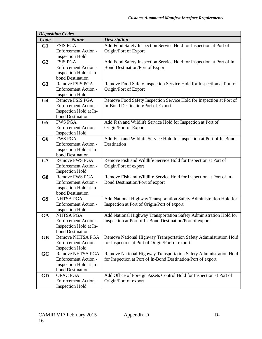|                | <b>Disposition Codes</b>    |                                                                       |
|----------------|-----------------------------|-----------------------------------------------------------------------|
| Code           | <b>Name</b>                 | <b>Description</b>                                                    |
| G1             | <b>FSIS PGA</b>             | Add Food Safety Inspection Service Hold for Inspection at Port of     |
|                | Enforcement Action -        | Origin/Port of Export                                                 |
|                | <b>Inspection Hold</b>      |                                                                       |
| G <sub>2</sub> | <b>FSIS PGA</b>             | Add Food Safety Inspection Service Hold for Inspection at Port of In- |
|                | <b>Enforcement Action -</b> | <b>Bond Destination/Port of Export</b>                                |
|                | Inspection Hold at In-      |                                                                       |
|                | bond Destination            |                                                                       |
| G <sub>3</sub> | <b>Remove FSIS PGA</b>      | Remove Food Safety Inspection Service Hold for Inspection at Port of  |
|                | Enforcement Action -        | Origin/Port of Export                                                 |
|                | <b>Inspection Hold</b>      |                                                                       |
| G <sub>4</sub> | Remove FSIS PGA             | Remove Food Safety Inspection Service Hold for Inspection at Port of  |
|                | <b>Enforcement Action -</b> | In-Bond Destination/Port of Export                                    |
|                | Inspection Hold at In-      |                                                                       |
|                | bond Destination            |                                                                       |
| G <sub>5</sub> | <b>FWS PGA</b>              | Add Fish and Wildlife Service Hold for Inspection at Port of          |
|                | Enforcement Action -        | Origin/Port of Export                                                 |
|                | <b>Inspection Hold</b>      |                                                                       |
| G <sub>6</sub> | <b>FWS PGA</b>              | Add Fish and Wildlife Service Hold for Inspection at Port of In-Bond  |
|                | <b>Enforcement Action -</b> | Destination                                                           |
|                | Inspection Hold at In-      |                                                                       |
|                | bond Destination            |                                                                       |
| G7             | <b>Remove FWS PGA</b>       | Remove Fish and Wildlife Service Hold for Inspection at Port of       |
|                | Enforcement Action -        | Origin/Port of export                                                 |
|                | <b>Inspection Hold</b>      |                                                                       |
| G8             | Remove FWS PGA              | Remove Fish and Wildlife Service Hold for Inspection at Port of In-   |
|                | Enforcement Action -        | Bond Destination/Port of export                                       |
|                | Inspection Hold at In-      |                                                                       |
|                | bond Destination            |                                                                       |
| G9             | <b>NHTSA PGA</b>            | Add National Highway Transportation Safety Administration Hold for    |
|                | Enforcement Action -        | Inspection at Port of Origin/Port of export                           |
|                | <b>Inspection Hold</b>      |                                                                       |
| <b>GA</b>      | <b>NHTSA PGA</b>            | Add National Highway Transportation Safety Administration Hold for    |
|                | Enforcement Action -        | Inspection at Port of In-Bond Destination/Port of export              |
|                | Inspection Hold at In-      |                                                                       |
|                | bond Destination            |                                                                       |
| <b>GB</b>      | Remove NHTSA PGA            | Remove National Highway Transportation Safety Administration Hold     |
|                | <b>Enforcement Action -</b> | for Inspection at Port of Origin/Port of export                       |
|                | <b>Inspection Hold</b>      |                                                                       |
| GC             | Remove NHTSA PGA            | Remove National Highway Transportation Safety Administration Hold     |
|                | <b>Enforcement Action -</b> | for Inspection at Port of In-Bond Destination/Port of export          |
|                | Inspection Hold at In-      |                                                                       |
|                | bond Destination            |                                                                       |
| GD             | OFAC PGA                    | Add Office of Foreign Assets Control Hold for Inspection at Port of   |
|                | Enforcement Action -        | Origin/Port of export                                                 |
|                | <b>Inspection Hold</b>      |                                                                       |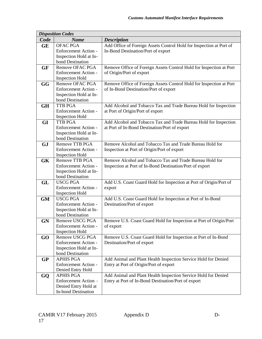|           | <b>Disposition Codes</b>                              |                                                                     |
|-----------|-------------------------------------------------------|---------------------------------------------------------------------|
| Code      | <b>Name</b>                                           | <b>Description</b>                                                  |
| <b>GE</b> | <b>OFAC PGA</b>                                       | Add Office of Foreign Assets Control Hold for Inspection at Port of |
|           | <b>Enforcement Action -</b>                           | In-Bond Destination/Port of export                                  |
|           | Inspection Hold at In-                                |                                                                     |
|           | bond Destination                                      |                                                                     |
| <b>GF</b> | Remove OFAC PGA                                       | Remove Office of Foreign Assets Control Hold for Inspection at Port |
|           | Enforcement Action -                                  | of Origin/Port of export                                            |
|           | <b>Inspection Hold</b>                                |                                                                     |
| GG        | Remove OFAC PGA                                       | Remove Office of Foreign Assets Control Hold for Inspection at Port |
|           | <b>Enforcement Action -</b>                           | of In-Bond Destination/Port of export                               |
|           | Inspection Hold at In-                                |                                                                     |
|           | bond Destination                                      |                                                                     |
| <b>GH</b> | <b>TTB PGA</b>                                        | Add Alcohol and Tobacco Tax and Trade Bureau Hold for Inspection    |
|           | <b>Enforcement Action -</b><br><b>Inspection Hold</b> | at Port of Origin/Port of export                                    |
| <b>GI</b> | <b>TTB PGA</b>                                        | Add Alcohol and Tobacco Tax and Trade Bureau Hold for Inspection    |
|           | <b>Enforcement Action -</b>                           | at Port of In-Bond Destination/Port of export                       |
|           | Inspection Hold at In-                                |                                                                     |
|           | bond Destination                                      |                                                                     |
| <b>GJ</b> | <b>Remove TTB PGA</b>                                 | Remove Alcohol and Tobacco Tax and Trade Bureau Hold for            |
|           | Enforcement Action -                                  | Inspection at Port of Origin/Port of export                         |
|           | <b>Inspection Hold</b>                                |                                                                     |
| <b>GK</b> | <b>Remove TTB PGA</b>                                 | Remove Alcohol and Tobacco Tax and Trade Bureau Hold for            |
|           | <b>Enforcement Action -</b>                           | Inspection at Port of In-Bond Destination/Port of export            |
|           | Inspection Hold at In-                                |                                                                     |
|           | bond Destination                                      |                                                                     |
| GL        | <b>USCG PGA</b>                                       | Add U.S. Coast Guard Hold for Inspection at Port of Origin/Port of  |
|           | Enforcement Action -                                  | export                                                              |
|           | <b>Inspection Hold</b>                                |                                                                     |
| <b>GM</b> | <b>USCG PGA</b>                                       | Add U.S. Coast Guard Hold for Inspection at Port of In-Bond         |
|           | Enforcement Action -                                  | Destination/Port of export                                          |
|           | Inspection Hold at In-                                |                                                                     |
|           | bond Destination                                      |                                                                     |
| <b>GN</b> | Remove USCG PGA                                       | Remove U.S. Coast Guard Hold for Inspection at Port of Origin/Port  |
|           | Enforcement Action -                                  | of export                                                           |
| GO        | <b>Inspection Hold</b><br>Remove USCG PGA             | Remove U.S. Coast Guard Hold for Inspection at Port of In-Bond      |
|           | <b>Enforcement Action -</b>                           | Destination/Port of export                                          |
|           | Inspection Hold at In-                                |                                                                     |
|           | bond Destination                                      |                                                                     |
| <b>GP</b> | <b>APHIS PGA</b>                                      | Add Animal and Plant Health Inspection Service Hold for Denied      |
|           | Enforcement Action -                                  | Entry at Port of Origin/Port of export                              |
|           | Denied Entry Hold                                     |                                                                     |
| GQ        | <b>APHIS PGA</b>                                      | Add Animal and Plant Health Inspection Service Hold for Denied      |
|           | Enforcement Action-                                   | Entry at Port of In-Bond Destination/Port of export                 |
|           | Denied Entry Hold at                                  |                                                                     |
|           | <b>In-bond Destination</b>                            |                                                                     |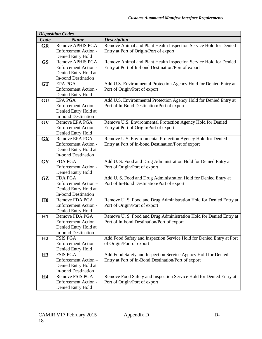|                | <b>Disposition Codes</b>    |                                                                      |
|----------------|-----------------------------|----------------------------------------------------------------------|
| Code           | <b>Name</b>                 | <b>Description</b>                                                   |
| <b>GR</b>      | <b>Remove APHIS PGA</b>     | Remove Animal and Plant Health Inspection Service Hold for Denied    |
|                | <b>Enforcement Action -</b> | Entry at Port of Origin/Port of export                               |
|                | Denied Entry Hold           |                                                                      |
| <b>GS</b>      | <b>Remove APHIS PGA</b>     | Remove Animal and Plant Health Inspection Service Hold for Denied    |
|                | Enforcement Action -        | Entry at Port of In-bond Destination/Port of export                  |
|                | Denied Entry Hold at        |                                                                      |
|                | <b>In-bond Destination</b>  |                                                                      |
| <b>GT</b>      | <b>EPA PGA</b>              | Add U.S. Environmental Protection Agency Hold for Denied Entry at    |
|                | <b>Enforcement Action -</b> | Port of Origin/Port of export                                        |
|                | Denied Entry Hold           |                                                                      |
| GU             | <b>EPA PGA</b>              | Add U.S. Environmental Protection Agency Hold for Denied Entry at    |
|                | Enforcement Action-         | Port of In-Bond Destination/Port of export                           |
|                | Denied Entry Hold at        |                                                                      |
|                | <b>In-bond Destination</b>  |                                                                      |
| GV             | Remove EPA PGA              | Remove U.S. Environmental Protection Agency Hold for Denied          |
|                | <b>Enforcement Action -</b> | Entry at Port of Origin/Port of export                               |
|                | Denied Entry Hold           |                                                                      |
| <b>GX</b>      | Remove EPA PGA              | Remove U.S. Environmental Protection Agency Hold for Denied          |
|                | Enforcement Action -        | Entry at Port of In-bond Destination/Port of export                  |
|                | Denied Entry Hold at        |                                                                      |
|                | <b>In-bond Destination</b>  |                                                                      |
| <b>GY</b>      | <b>FDA PGA</b>              | Add U.S. Food and Drug Administration Hold for Denied Entry at       |
|                | Enforcement Action -        | Port of Origin/Port of export                                        |
|                | Denied Entry Hold           |                                                                      |
| GZ             | <b>FDA PGA</b>              | Add U.S. Food and Drug Administration Hold for Denied Entry at       |
|                | Enforcement Action-         | Port of In-Bond Destination/Port of export                           |
|                | Denied Entry Hold at        |                                                                      |
|                | <b>In-bond Destination</b>  |                                                                      |
| H <sub>0</sub> | Remove FDA PGA              | Remove U.S. Food and Drug Administration Hold for Denied Entry at    |
|                | <b>Enforcement Action -</b> | Port of Origin/Port of export                                        |
|                | Denied Entry Hold           |                                                                      |
| H1             | Remove FDA PGA              | Remove U. S. Food and Drug Administration Hold for Denied Entry at   |
|                | Enforcement Action -        | Port of In-bond Destination/Port of export                           |
|                | Denied Entry Hold at        |                                                                      |
|                | <b>In-bond Destination</b>  |                                                                      |
| H2             | <b>FSIS PGA</b>             | Add Food Safety and Inspection Service Hold for Denied Entry at Port |
|                | Enforcement Action -        | of Origin/Port of export                                             |
|                | Denied Entry Hold           |                                                                      |
| H3             | <b>FSIS PGA</b>             | Add Food Safety and Inspection Service Agency Hold for Denied        |
|                | Enforcement Action-         | Entry at Port of In-Bond Destination/Port of export                  |
|                | Denied Entry Hold at        |                                                                      |
|                | <b>In-bond Destination</b>  |                                                                      |
| <b>H4</b>      | Remove FSIS PGA             | Remove Food Safety and Inspection Service Hold for Denied Entry at   |
|                | Enforcement Action -        | Port of Origin/Port of export                                        |
|                | Denied Entry Hold           |                                                                      |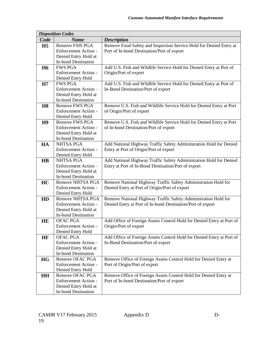|                        | <b>Disposition Codes</b>                           |                                                                       |
|------------------------|----------------------------------------------------|-----------------------------------------------------------------------|
| Code                   | <b>Name</b>                                        | <b>Description</b>                                                    |
| H <sub>5</sub>         | <b>Remove FSIS PGA</b>                             | Remove Food Safety and Inspection Service Hold for Denied Entry at    |
|                        | <b>Enforcement Action -</b>                        | Port of In-bond Destination/Port of export                            |
|                        | Denied Entry Hold at                               |                                                                       |
|                        | <b>In-bond Destination</b>                         |                                                                       |
| <b>H6</b>              | <b>FWS PGA</b>                                     | Add U.S. Fish and Wildlife Service Hold for Denied Entry at Port of   |
|                        | <b>Enforcement Action -</b>                        | Origin/Port of export                                                 |
|                        | Denied Entry Hold                                  |                                                                       |
| H7                     | <b>FWS PGA</b>                                     | Add U.S. Fish and Wildlife Service Hold for Denied Entry at Port of   |
|                        | Enforcement Action -                               | In-Bond Destination/Port of export                                    |
|                        | Denied Entry Hold at                               |                                                                       |
|                        | <b>In-bond Destination</b>                         |                                                                       |
| <b>H8</b>              | <b>Remove FWS PGA</b>                              | Remove U.S. Fish and Wildlife Service Hold for Denied Entry at Port   |
|                        | <b>Enforcement Action -</b>                        | of Origin/Port of export                                              |
|                        | Denied Entry Hold                                  |                                                                       |
| H9                     | <b>Remove FWS PGA</b>                              | Remove U.S. Fish and Wildlife Service Hold for Denied Entry at Port   |
|                        | <b>Enforcement Action -</b>                        | of In-bond Destination/Port of export                                 |
|                        | Denied Entry Hold at                               |                                                                       |
|                        | <b>In-bond Destination</b>                         |                                                                       |
| HA                     | <b>NHTSA PGA</b>                                   | Add National Highway Traffic Safety Administration Hold for Denied    |
|                        | Enforcement Action -                               | Entry at Port of Origin/Port of export                                |
|                        | Denied Entry Hold                                  |                                                                       |
| $\mathbf{H}\mathbf{B}$ | <b>NHTSA PGA</b>                                   | Add National Highway Traffic Safety Administration Hold for Denied    |
|                        | Enforcement Action -                               | Entry at Port of In-Bond Destination/Port of export                   |
|                        | Denied Entry Hold at<br><b>In-bond Destination</b> |                                                                       |
| HC                     | Remove NHTSA PGA                                   | Remove National Highway Traffic Safety Administration Hold for        |
|                        | <b>Enforcement Action -</b>                        | Denied Entry at Port of Origin/Port of export                         |
|                        | Denied Entry Hold                                  |                                                                       |
| HD                     | <b>Remove NHTSA PGA</b>                            | Remove National Highway Traffic Safety Administration Hold for        |
|                        | Enforcement Action -                               | Denied Entry at Port of In-bond Destination/Port of export            |
|                        | Denied Entry Hold at                               |                                                                       |
|                        | <b>In-bond Destination</b>                         |                                                                       |
| HE                     | OFAC PGA                                           | Add Office of Foreign Assets Control Hold for Denied Entry at Port of |
|                        | Enforcement Action -                               | Origin/Port of export                                                 |
|                        | Denied Entry Hold                                  |                                                                       |
| HF                     | <b>OFAC PGA</b>                                    | Add Office of Foreign Assets Control Hold for Denied Entry at Port of |
|                        | Enforcement Action-                                | In-Bond Destination/Port of export                                    |
|                        | Denied Entry Hold at                               |                                                                       |
|                        | <b>In-bond Destination</b>                         |                                                                       |
| <b>HG</b>              | Remove OFAC PGA                                    | Remove Office of Foreign Assets Control Hold for Denied Entry at      |
|                        | Enforcement Action -                               | Port of Origin/Port of export                                         |
|                        | Denied Entry Hold                                  |                                                                       |
| <b>HH</b>              | Remove OFAC PGA                                    | Remove Office of Foreign Assets Control Hold for Denied Entry at      |
|                        | Enforcement Action -                               | Port of In-bond Destination/Port of export                            |
|                        | Denied Entry Hold at                               |                                                                       |
|                        | <b>In-bond Destination</b>                         |                                                                       |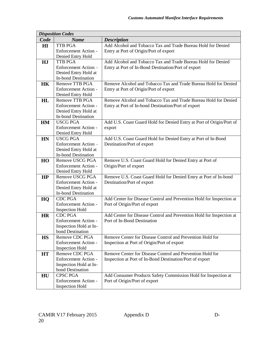|           | <b>Disposition Codes</b>    |                                                                      |
|-----------|-----------------------------|----------------------------------------------------------------------|
| Code      | <b>Name</b>                 | <b>Description</b>                                                   |
| H I       | <b>TTB PGA</b>              | Add Alcohol and Tobacco Tax and Trade Bureau Hold for Denied         |
|           | <b>Enforcement Action -</b> | Entry at Port of Origin/Port of export                               |
|           | Denied Entry Hold           |                                                                      |
| HJ        | <b>TTB PGA</b>              | Add Alcohol and Tobacco Tax and Trade Bureau Hold for Denied         |
|           | Enforcement Action-         | Entry at Port of In-Bond Destination/Port of export                  |
|           | Denied Entry Hold at        |                                                                      |
|           | <b>In-bond Destination</b>  |                                                                      |
| <b>HK</b> | <b>Remove TTB PGA</b>       | Remove Alcohol and Tobacco Tax and Trade Bureau Hold for Denied      |
|           | <b>Enforcement Action -</b> | Entry at Port of Origin/Port of export                               |
|           | Denied Entry Hold           |                                                                      |
| HL        | <b>Remove TTB PGA</b>       | Remove Alcohol and Tobacco Tax and Trade Bureau Hold for Denied      |
|           | Enforcement Action -        | Entry at Port of In-bond Destination/Port of export                  |
|           | Denied Entry Hold at        |                                                                      |
|           | <b>In-bond Destination</b>  |                                                                      |
| HM        | <b>USCG PGA</b>             | Add U.S. Coast Guard Hold for Denied Entry at Port of Origin/Port of |
|           | Enforcement Action -        | export                                                               |
|           | Denied Entry Hold           |                                                                      |
| <b>HN</b> | <b>USCG PGA</b>             | Add U.S. Coast Guard Hold for Denied Entry at Port of In-Bond        |
|           | Enforcement Action-         | Destination/Port of export                                           |
|           | Denied Entry Hold at        |                                                                      |
|           | <b>In-bond Destination</b>  |                                                                      |
| HO        | Remove USCG PGA             | Remove U.S. Coast Guard Hold for Denied Entry at Port of             |
|           | Enforcement Action -        | Origin/Port of export                                                |
|           | Denied Entry Hold           |                                                                      |
| HP        | Remove USCG PGA             | Remove U.S. Coast Guard Hold for Denied Entry at Port of In-bond     |
|           | Enforcement Action -        | Destination/Port of export                                           |
|           | Denied Entry Hold at        |                                                                      |
|           | <b>In-bond Destination</b>  |                                                                      |
| HQ        | <b>CDC PGA</b>              | Add Center for Disease Control and Prevention Hold for Inspection at |
|           | Enforcement Action -        | Port of Origin/Port of export                                        |
|           | <b>Inspection Hold</b>      |                                                                      |
| <b>HR</b> | <b>CDC PGA</b>              | Add Center for Disease Control and Prevention Hold for Inspection at |
|           | Enforcement Action -        | Port of In-Bond Destination                                          |
|           | Inspection Hold at In-      |                                                                      |
|           | bond Destination            |                                                                      |
| <b>HS</b> | Remove CDC PGA              | Remove Center for Disease Control and Prevention Hold for            |
|           | Enforcement Action -        | Inspection at Port of Origin/Port of export                          |
|           | <b>Inspection Hold</b>      |                                                                      |
| <b>HT</b> | Remove CDC PGA              | Remove Center for Disease Control and Prevention Hold for            |
|           | Enforcement Action -        | Inspection at Port of In-Bond Destination/Port of export             |
|           | Inspection Hold at In-      |                                                                      |
|           | bond Destination            |                                                                      |
| HU        | <b>CPSC PGA</b>             | Add Consumer Products Safety Commission Hold for Inspection at       |
|           | Enforcement Action -        | Port of Origin/Port of export                                        |
|           | <b>Inspection Hold</b>      |                                                                      |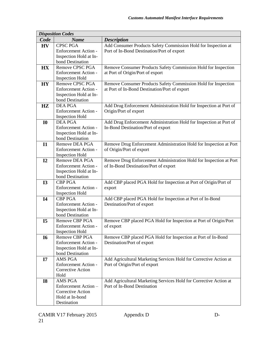|           | <b>Disposition Codes</b>                 |                                                                    |
|-----------|------------------------------------------|--------------------------------------------------------------------|
| Code      | <b>Name</b>                              | <b>Description</b>                                                 |
| <b>HV</b> | <b>CPSC PGA</b>                          | Add Consumer Products Safety Commission Hold for Inspection at     |
|           | Enforcement Action -                     | Port of In-Bond Destination/Port of export                         |
|           | Inspection Hold at In-                   |                                                                    |
|           | bond Destination                         |                                                                    |
| <b>HX</b> | Remove CPSC PGA                          | Remove Consumer Products Safety Commission Hold for Inspection     |
|           | Enforcement Action -                     | at Port of Origin/Port of export                                   |
|           | <b>Inspection Hold</b>                   |                                                                    |
| <b>HY</b> | Remove CPSC PGA                          | Remove Consumer Products Safety Commission Hold for Inspection     |
|           | <b>Enforcement Action -</b>              | at Port of In-Bond Destination/Port of export                      |
|           | Inspection Hold at In-                   |                                                                    |
|           | bond Destination                         |                                                                    |
| HZ        | <b>DEA PGA</b>                           | Add Drug Enforcement Administration Hold for Inspection at Port of |
|           | <b>Enforcement Action -</b>              | Origin/Port of export                                              |
|           | <b>Inspection Hold</b>                   |                                                                    |
| <b>I0</b> | <b>DEA PGA</b>                           | Add Drug Enforcement Administration Hold for Inspection at Port of |
|           | <b>Enforcement Action -</b>              | In-Bond Destination/Port of export                                 |
|           | Inspection Hold at In-                   |                                                                    |
|           | bond Destination                         |                                                                    |
| I1        | Remove DEA PGA                           | Remove Drug Enforcement Administration Hold for Inspection at Port |
|           | <b>Enforcement Action -</b>              | of Origin/Port of export                                           |
|           | <b>Inspection Hold</b><br>Remove DEA PGA | Remove Drug Enforcement Administration Hold for Inspection at Port |
| I2        | <b>Enforcement Action -</b>              |                                                                    |
|           | Inspection Hold at In-                   | of In-Bond Destination/Port of export                              |
|           | bond Destination                         |                                                                    |
| <b>I3</b> | <b>CBP PGA</b>                           | Add CBP placed PGA Hold for Inspection at Port of Origin/Port of   |
|           | Enforcement Action -                     | export                                                             |
|           | <b>Inspection Hold</b>                   |                                                                    |
| <b>I4</b> | <b>CBP PGA</b>                           | Add CBP placed PGA Hold for Inspection at Port of In-Bond          |
|           | Enforcement Action -                     | Destination/Port of export                                         |
|           | Inspection Hold at In-                   |                                                                    |
|           | bond Destination                         |                                                                    |
| I5        | Remove CBP PGA                           | Remove CBP placed PGA Hold for Inspection at Port of Origin/Port   |
|           | <b>Enforcement Action -</b>              | of export                                                          |
|           | <b>Inspection Hold</b>                   |                                                                    |
| <b>I6</b> | Remove CBP PGA                           | Remove CBP placed PGA Hold for Inspection at Port of In-Bond       |
|           | <b>Enforcement Action -</b>              | Destination/Port of export                                         |
|           | Inspection Hold at In-                   |                                                                    |
|           | bond Destination                         |                                                                    |
| I7        | AMS PGA                                  | Add Agricultural Marketing Services Hold for Corrective Action at  |
|           | <b>Enforcement Action -</b>              | Port of Origin/Port of export                                      |
|           | <b>Corrective Action</b>                 |                                                                    |
|           | Hold                                     |                                                                    |
| <b>I8</b> | AMS PGA                                  | Add Agricultural Marketing Services Hold for Corrective Action at  |
|           | Enforcement Action-                      | Port of In-Bond Destination                                        |
|           | <b>Corrective Action</b>                 |                                                                    |
|           | Hold at In-bond                          |                                                                    |
|           | Destination                              |                                                                    |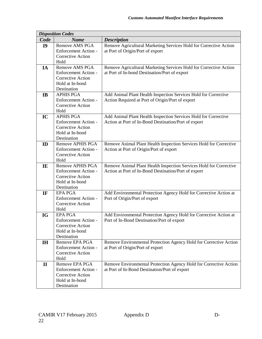|              | <b>Disposition Codes</b>                         |                                                                    |
|--------------|--------------------------------------------------|--------------------------------------------------------------------|
| Code         | <b>Name</b>                                      | <b>Description</b>                                                 |
| <b>I9</b>    | <b>Remove AMS PGA</b>                            | Remove Agricultural Marketing Services Hold for Corrective Action  |
|              | Enforcement Action -                             | at Port of Origin/Port of export                                   |
|              | Corrective Action                                |                                                                    |
|              | Hold                                             |                                                                    |
| IA           | Remove AMS PGA                                   | Remove Agricultural Marketing Services Hold for Corrective Action  |
|              | <b>Enforcement Action -</b>                      | at Port of In-bond Destination/Port of export                      |
|              | <b>Corrective Action</b>                         |                                                                    |
|              | Hold at In-bond                                  |                                                                    |
|              | Destination                                      |                                                                    |
| IB           | <b>APHIS PGA</b>                                 | Add Animal Plant Health Inspection Services Hold for Corrective    |
|              | Enforcement Action -                             | Action Required at Port of Origin/Port of export                   |
|              | <b>Corrective Action</b>                         |                                                                    |
|              | Hold                                             |                                                                    |
| IC           | <b>APHIS PGA</b>                                 | Add Animal Plant Health Inspection Services Hold for Corrective    |
|              | Enforcement Action -                             | Action at Port of In-Bond Destination/Port of export               |
|              | <b>Corrective Action</b>                         |                                                                    |
|              | Hold at In-bond                                  |                                                                    |
|              | Destination                                      |                                                                    |
| ID           | <b>Remove APHIS PGA</b>                          | Remove Animal Plant Health Inspection Services Hold for Corrective |
|              | Enforcement Action -<br><b>Corrective Action</b> | Action at Port of Origin/Port of export                            |
|              | Hold                                             |                                                                    |
| IE           | <b>Remove APHIS PGA</b>                          | Remove Animal Plant Health Inspection Services Hold for Corrective |
|              | <b>Enforcement Action -</b>                      | Action at Port of In-Bond Destination/Port of export               |
|              | <b>Corrective Action</b>                         |                                                                    |
|              | Hold at In-bond                                  |                                                                    |
|              | Destination                                      |                                                                    |
| IF           | <b>EPA PGA</b>                                   | Add Environmental Protection Agency Hold for Corrective Action at  |
|              | <b>Enforcement Action -</b>                      | Port of Origin/Port of export                                      |
|              | Corrective Action                                |                                                                    |
|              | Hold                                             |                                                                    |
| <b>IG</b>    | <b>EPA PGA</b>                                   | Add Environmental Protection Agency Hold for Corrective Action at  |
|              | Enforcement Action -                             | Port of In-Bond Destination/Port of export                         |
|              | <b>Corrective Action</b>                         |                                                                    |
|              | Hold at In-bond                                  |                                                                    |
|              | Destination                                      |                                                                    |
| <b>IH</b>    | Remove EPA PGA                                   | Remove Environmental Protection Agency Hold for Corrective Action  |
|              | <b>Enforcement Action -</b>                      | at Port of Origin/Port of export                                   |
|              | <b>Corrective Action</b>                         |                                                                    |
|              | Hold                                             |                                                                    |
| $\mathbf{I}$ | Remove EPA PGA                                   | Remove Environmental Protection Agency Hold for Corrective Action  |
|              | <b>Enforcement Action -</b>                      | at Port of In-Bond Destination/Port of export                      |
|              | Corrective Action                                |                                                                    |
|              | Hold at In-bond                                  |                                                                    |
|              | Destination                                      |                                                                    |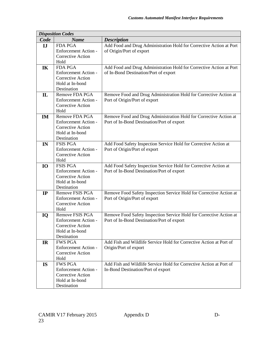|              | <b>Disposition Codes</b>                         |                                                                                                                 |
|--------------|--------------------------------------------------|-----------------------------------------------------------------------------------------------------------------|
| Code         | <b>Name</b>                                      | <b>Description</b>                                                                                              |
| IJ           | <b>FDA PGA</b>                                   | Add Food and Drug Administration Hold for Corrective Action at Port                                             |
|              | Enforcement Action -<br><b>Corrective Action</b> | of Origin/Port of export                                                                                        |
|              | Hold                                             |                                                                                                                 |
| IK           | <b>FDA PGA</b>                                   | Add Food and Drug Administration Hold for Corrective Action at Port                                             |
|              | Enforcement Action -                             | of In-Bond Destination/Port of export                                                                           |
|              | <b>Corrective Action</b>                         |                                                                                                                 |
|              | Hold at In-bond                                  |                                                                                                                 |
|              | Destination                                      |                                                                                                                 |
| $\mathbf{L}$ | Remove FDA PGA                                   | Remove Food and Drug Administration Hold for Corrective Action at                                               |
|              | Enforcement Action -                             | Port of Origin/Port of export                                                                                   |
|              | Corrective Action                                |                                                                                                                 |
|              | Hold                                             |                                                                                                                 |
| IM           | Remove FDA PGA<br>Enforcement Action -           | Remove Food and Drug Administration Hold for Corrective Action at<br>Port of In-Bond Destination/Port of export |
|              | <b>Corrective Action</b>                         |                                                                                                                 |
|              | Hold at In-bond                                  |                                                                                                                 |
|              | Destination                                      |                                                                                                                 |
| IN           | <b>FSIS PGA</b>                                  | Add Food Safety Inspection Service Hold for Corrective Action at                                                |
|              | Enforcement Action -                             | Port of Origin/Port of export                                                                                   |
|              | Corrective Action                                |                                                                                                                 |
|              | Hold                                             |                                                                                                                 |
| <b>IO</b>    | <b>FSIS PGA</b>                                  | Add Food Safety Inspection Service Hold for Corrective Action at                                                |
|              | Enforcement Action -<br><b>Corrective Action</b> | Port of In-Bond Destination/Port of export                                                                      |
|              | Hold at In-bond                                  |                                                                                                                 |
|              | Destination                                      |                                                                                                                 |
| IP           | Remove FSIS PGA                                  | Remove Food Safety Inspection Service Hold for Corrective Action at                                             |
|              | Enforcement Action -                             | Port of Origin/Port of export                                                                                   |
|              | Corrective Action                                |                                                                                                                 |
|              | Hold                                             |                                                                                                                 |
| IQ           | Remove FSIS PGA                                  | Remove Food Safety Inspection Service Hold for Corrective Action at                                             |
|              | Enforcement Action -                             | Port of In-Bond Destination/Port of export                                                                      |
|              | Corrective Action<br>Hold at In-bond             |                                                                                                                 |
|              | Destination                                      |                                                                                                                 |
| IR           | <b>FWS PGA</b>                                   | Add Fish and Wildlife Service Hold for Corrective Action at Port of                                             |
|              | Enforcement Action -                             | Origin/Port of export                                                                                           |
|              | <b>Corrective Action</b>                         |                                                                                                                 |
|              | Hold                                             |                                                                                                                 |
| <b>IS</b>    | <b>FWS PGA</b>                                   | Add Fish and Wildlife Service Hold for Corrective Action at Port of                                             |
|              | Enforcement Action -                             | In-Bond Destination/Port of export                                                                              |
|              | <b>Corrective Action</b>                         |                                                                                                                 |
|              | Hold at In-bond<br>Destination                   |                                                                                                                 |
|              |                                                  |                                                                                                                 |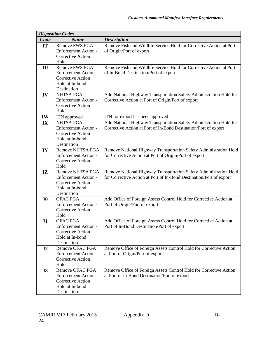| <b>Disposition Codes</b>    |                                                                                                                                                                                                                                                                                                                                                                                                                                                                                                                                                                                                                                                                                                                                                               |  |  |
|-----------------------------|---------------------------------------------------------------------------------------------------------------------------------------------------------------------------------------------------------------------------------------------------------------------------------------------------------------------------------------------------------------------------------------------------------------------------------------------------------------------------------------------------------------------------------------------------------------------------------------------------------------------------------------------------------------------------------------------------------------------------------------------------------------|--|--|
| <b>Name</b>                 | <b>Description</b>                                                                                                                                                                                                                                                                                                                                                                                                                                                                                                                                                                                                                                                                                                                                            |  |  |
| <b>Remove FWS PGA</b>       | Remove Fish and Wildlife Service Hold for Corrective Action at Port                                                                                                                                                                                                                                                                                                                                                                                                                                                                                                                                                                                                                                                                                           |  |  |
| Enforcement Action -        | of Origin/Port of export                                                                                                                                                                                                                                                                                                                                                                                                                                                                                                                                                                                                                                                                                                                                      |  |  |
| <b>Corrective Action</b>    |                                                                                                                                                                                                                                                                                                                                                                                                                                                                                                                                                                                                                                                                                                                                                               |  |  |
| Hold                        |                                                                                                                                                                                                                                                                                                                                                                                                                                                                                                                                                                                                                                                                                                                                                               |  |  |
|                             | Remove Fish and Wildlife Service Hold for Corrective Action at Port                                                                                                                                                                                                                                                                                                                                                                                                                                                                                                                                                                                                                                                                                           |  |  |
| <b>Enforcement Action -</b> | of In-Bond Destination/Port of export                                                                                                                                                                                                                                                                                                                                                                                                                                                                                                                                                                                                                                                                                                                         |  |  |
|                             |                                                                                                                                                                                                                                                                                                                                                                                                                                                                                                                                                                                                                                                                                                                                                               |  |  |
|                             |                                                                                                                                                                                                                                                                                                                                                                                                                                                                                                                                                                                                                                                                                                                                                               |  |  |
|                             |                                                                                                                                                                                                                                                                                                                                                                                                                                                                                                                                                                                                                                                                                                                                                               |  |  |
|                             | Add National Highway Transportation Safety Administration Hold for                                                                                                                                                                                                                                                                                                                                                                                                                                                                                                                                                                                                                                                                                            |  |  |
|                             | Corrective Action at Port of Origin/Port of export                                                                                                                                                                                                                                                                                                                                                                                                                                                                                                                                                                                                                                                                                                            |  |  |
|                             |                                                                                                                                                                                                                                                                                                                                                                                                                                                                                                                                                                                                                                                                                                                                                               |  |  |
|                             |                                                                                                                                                                                                                                                                                                                                                                                                                                                                                                                                                                                                                                                                                                                                                               |  |  |
|                             | ITN for export has been approved                                                                                                                                                                                                                                                                                                                                                                                                                                                                                                                                                                                                                                                                                                                              |  |  |
|                             | Add National Highway Transportation Safety Administration Hold for                                                                                                                                                                                                                                                                                                                                                                                                                                                                                                                                                                                                                                                                                            |  |  |
|                             | Corrective Action at Port of In-Bond Destination/Port of export                                                                                                                                                                                                                                                                                                                                                                                                                                                                                                                                                                                                                                                                                               |  |  |
|                             |                                                                                                                                                                                                                                                                                                                                                                                                                                                                                                                                                                                                                                                                                                                                                               |  |  |
|                             |                                                                                                                                                                                                                                                                                                                                                                                                                                                                                                                                                                                                                                                                                                                                                               |  |  |
|                             | Remove National Highway Transportation Safety Administration Hold                                                                                                                                                                                                                                                                                                                                                                                                                                                                                                                                                                                                                                                                                             |  |  |
|                             | for Corrective Action at Port of Origin/Port of export                                                                                                                                                                                                                                                                                                                                                                                                                                                                                                                                                                                                                                                                                                        |  |  |
|                             |                                                                                                                                                                                                                                                                                                                                                                                                                                                                                                                                                                                                                                                                                                                                                               |  |  |
|                             |                                                                                                                                                                                                                                                                                                                                                                                                                                                                                                                                                                                                                                                                                                                                                               |  |  |
|                             | Remove National Highway Transportation Safety Administration Hold                                                                                                                                                                                                                                                                                                                                                                                                                                                                                                                                                                                                                                                                                             |  |  |
|                             | for Corrective Action at Port of In-Bond Destination/Port of export                                                                                                                                                                                                                                                                                                                                                                                                                                                                                                                                                                                                                                                                                           |  |  |
|                             |                                                                                                                                                                                                                                                                                                                                                                                                                                                                                                                                                                                                                                                                                                                                                               |  |  |
| Hold at In-bond             |                                                                                                                                                                                                                                                                                                                                                                                                                                                                                                                                                                                                                                                                                                                                                               |  |  |
| Destination                 |                                                                                                                                                                                                                                                                                                                                                                                                                                                                                                                                                                                                                                                                                                                                                               |  |  |
| OFAC PGA                    | Add Office of Foreign Assets Control Hold for Corrective Action at                                                                                                                                                                                                                                                                                                                                                                                                                                                                                                                                                                                                                                                                                            |  |  |
| <b>Enforcement Action -</b> | Port of Origin/Port of export                                                                                                                                                                                                                                                                                                                                                                                                                                                                                                                                                                                                                                                                                                                                 |  |  |
| Corrective Action           |                                                                                                                                                                                                                                                                                                                                                                                                                                                                                                                                                                                                                                                                                                                                                               |  |  |
| Hold                        |                                                                                                                                                                                                                                                                                                                                                                                                                                                                                                                                                                                                                                                                                                                                                               |  |  |
|                             | Add Office of Foreign Assets Control Hold for Corrective Action at                                                                                                                                                                                                                                                                                                                                                                                                                                                                                                                                                                                                                                                                                            |  |  |
|                             | Port of In-Bond Destination/Port of export                                                                                                                                                                                                                                                                                                                                                                                                                                                                                                                                                                                                                                                                                                                    |  |  |
|                             |                                                                                                                                                                                                                                                                                                                                                                                                                                                                                                                                                                                                                                                                                                                                                               |  |  |
|                             |                                                                                                                                                                                                                                                                                                                                                                                                                                                                                                                                                                                                                                                                                                                                                               |  |  |
|                             |                                                                                                                                                                                                                                                                                                                                                                                                                                                                                                                                                                                                                                                                                                                                                               |  |  |
|                             | Remove Office of Foreign Assets Control Hold for Corrective Action                                                                                                                                                                                                                                                                                                                                                                                                                                                                                                                                                                                                                                                                                            |  |  |
|                             | at Port of Origin/Port of export                                                                                                                                                                                                                                                                                                                                                                                                                                                                                                                                                                                                                                                                                                                              |  |  |
|                             |                                                                                                                                                                                                                                                                                                                                                                                                                                                                                                                                                                                                                                                                                                                                                               |  |  |
|                             | Remove Office of Foreign Assets Control Hold for Corrective Action                                                                                                                                                                                                                                                                                                                                                                                                                                                                                                                                                                                                                                                                                            |  |  |
|                             | at Port of In-Bond Destination/Port of export                                                                                                                                                                                                                                                                                                                                                                                                                                                                                                                                                                                                                                                                                                                 |  |  |
|                             |                                                                                                                                                                                                                                                                                                                                                                                                                                                                                                                                                                                                                                                                                                                                                               |  |  |
|                             |                                                                                                                                                                                                                                                                                                                                                                                                                                                                                                                                                                                                                                                                                                                                                               |  |  |
|                             |                                                                                                                                                                                                                                                                                                                                                                                                                                                                                                                                                                                                                                                                                                                                                               |  |  |
|                             | Remove FWS PGA<br>Corrective Action<br>Hold at In-bond<br>Destination<br><b>NHTSA PGA</b><br><b>Enforcement Action -</b><br><b>Corrective Action</b><br>Hold<br>ITN approved<br><b>NHTSA PGA</b><br>Enforcement Action -<br><b>Corrective Action</b><br>Hold at In-bond<br>Destination<br>Remove NHTSA PGA<br><b>Enforcement Action -</b><br><b>Corrective Action</b><br>Hold<br><b>Remove NHTSA PGA</b><br><b>Enforcement Action -</b><br><b>Corrective Action</b><br><b>OFAC PGA</b><br>Enforcement Action -<br><b>Corrective Action</b><br>Hold at In-bond<br>Destination<br>Remove OFAC PGA<br>Enforcement Action -<br>Corrective Action<br>Hold<br>Remove OFAC PGA<br><b>Enforcement Action -</b><br>Corrective Action<br>Hold at In-bond<br>Destination |  |  |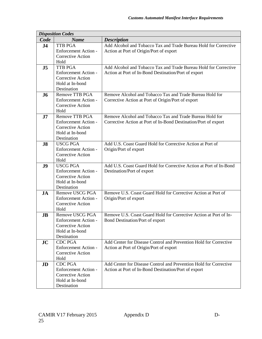|                | <b>Disposition Codes</b>                      |                                                                    |
|----------------|-----------------------------------------------|--------------------------------------------------------------------|
| Code           | <b>Name</b>                                   | <b>Description</b>                                                 |
| J <sub>4</sub> | <b>TTB PGA</b>                                | Add Alcohol and Tobacco Tax and Trade Bureau Hold for Corrective   |
|                | Enforcement Action -                          | Action at Port of Origin/Port of export                            |
|                | <b>Corrective Action</b>                      |                                                                    |
|                | Hold                                          |                                                                    |
| J <sub>5</sub> | TTB PGA                                       | Add Alcohol and Tobacco Tax and Trade Bureau Hold for Corrective   |
|                | <b>Enforcement Action -</b>                   | Action at Port of In-Bond Destination/Port of export               |
|                | <b>Corrective Action</b>                      |                                                                    |
|                | Hold at In-bond<br>Destination                |                                                                    |
|                | Remove TTB PGA                                | Remove Alcohol and Tobacco Tax and Trade Bureau Hold for           |
| <b>J6</b>      | <b>Enforcement Action -</b>                   | Corrective Action at Port of Origin/Port of export                 |
|                | <b>Corrective Action</b>                      |                                                                    |
|                | Hold                                          |                                                                    |
| J7             | Remove TTB PGA                                | Remove Alcohol and Tobacco Tax and Trade Bureau Hold for           |
|                | <b>Enforcement Action -</b>                   | Corrective Action at Port of In-Bond Destination/Port of export    |
|                | <b>Corrective Action</b>                      |                                                                    |
|                | Hold at In-bond                               |                                                                    |
|                | Destination                                   |                                                                    |
| J8             | <b>USCG PGA</b>                               | Add U.S. Coast Guard Hold for Corrective Action at Port of         |
|                | <b>Enforcement Action -</b>                   | Origin/Port of export                                              |
|                | <b>Corrective Action</b>                      |                                                                    |
|                | Hold                                          |                                                                    |
| J <sub>9</sub> | <b>USCG PGA</b>                               | Add U.S. Coast Guard Hold for Corrective Action at Port of In-Bond |
|                | <b>Enforcement Action -</b>                   | Destination/Port of export                                         |
|                | <b>Corrective Action</b>                      |                                                                    |
|                | Hold at In-bond<br>Destination                |                                                                    |
| <b>JA</b>      | Remove USCG PGA                               | Remove U.S. Coast Guard Hold for Corrective Action at Port of      |
|                | <b>Enforcement Action -</b>                   | Origin/Port of export                                              |
|                | <b>Corrective Action</b>                      |                                                                    |
|                | Hold                                          |                                                                    |
| <b>JB</b>      | Remove USCG PGA                               | Remove U.S. Coast Guard Hold for Corrective Action at Port of In-  |
|                | <b>Enforcement Action -</b>                   | Bond Destination/Port of export                                    |
|                | <b>Corrective Action</b>                      |                                                                    |
|                | Hold at In-bond                               |                                                                    |
|                | Destination                                   |                                                                    |
| JC             | <b>CDC PGA</b>                                | Add Center for Disease Control and Prevention Hold for Corrective  |
|                | <b>Enforcement Action -</b>                   | Action at Port of Origin/Port of export                            |
|                | <b>Corrective Action</b>                      |                                                                    |
|                | Hold                                          |                                                                    |
| JD             | <b>CDC PGA</b><br><b>Enforcement Action -</b> | Add Center for Disease Control and Prevention Hold for Corrective  |
|                | <b>Corrective Action</b>                      | Action at Port of In-Bond Destination/Port of export               |
|                | Hold at In-bond                               |                                                                    |
|                | Destination                                   |                                                                    |
|                |                                               |                                                                    |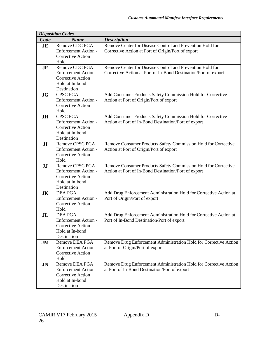|                | <b>Disposition Codes</b>                      |                                                                   |
|----------------|-----------------------------------------------|-------------------------------------------------------------------|
| Code           | <b>Name</b>                                   | <b>Description</b>                                                |
| <b>JE</b>      | Remove CDC PGA                                | Remove Center for Disease Control and Prevention Hold for         |
|                | Enforcement Action -                          | Corrective Action at Port of Origin/Port of export                |
|                | <b>Corrective Action</b>                      |                                                                   |
|                | Hold                                          |                                                                   |
| <b>JF</b>      | Remove CDC PGA                                | Remove Center for Disease Control and Prevention Hold for         |
|                | <b>Enforcement Action -</b>                   | Corrective Action at Port of In-Bond Destination/Port of export   |
|                | <b>Corrective Action</b>                      |                                                                   |
|                | Hold at In-bond                               |                                                                   |
|                | Destination                                   |                                                                   |
| <b>JG</b>      | <b>CPSC PGA</b>                               | Add Consumer Products Safety Commission Hold for Corrective       |
|                | Enforcement Action -                          | Action at Port of Origin/Port of export                           |
|                | Corrective Action                             |                                                                   |
|                | Hold                                          |                                                                   |
| <b>JH</b>      | <b>CPSC PGA</b>                               | Add Consumer Products Safety Commission Hold for Corrective       |
|                | <b>Enforcement Action -</b>                   | Action at Port of In-Bond Destination/Port of export              |
|                | <b>Corrective Action</b>                      |                                                                   |
|                | Hold at In-bond                               |                                                                   |
|                | Destination<br><b>Remove CPSC PGA</b>         | Remove Consumer Products Safety Commission Hold for Corrective    |
| J <sub>I</sub> | Enforcement Action -                          | Action at Port of Origin/Port of export                           |
|                | <b>Corrective Action</b>                      |                                                                   |
|                | Hold                                          |                                                                   |
| JJ             | <b>Remove CPSC PGA</b>                        | Remove Consumer Products Safety Commission Hold for Corrective    |
|                | <b>Enforcement Action -</b>                   | Action at Port of In-Bond Destination/Port of export              |
|                | Corrective Action                             |                                                                   |
|                | Hold at In-bond                               |                                                                   |
|                | Destination                                   |                                                                   |
| <b>JK</b>      | <b>DEA PGA</b>                                | Add Drug Enforcement Administration Hold for Corrective Action at |
|                | <b>Enforcement Action -</b>                   | Port of Origin/Port of export                                     |
|                | Corrective Action                             |                                                                   |
|                | Hold                                          |                                                                   |
| J <sub>L</sub> | <b>DEA PGA</b>                                | Add Drug Enforcement Administration Hold for Corrective Action at |
|                | Enforcement Action -                          | Port of In-Bond Destination/Port of export                        |
|                | <b>Corrective Action</b>                      |                                                                   |
|                | Hold at In-bond                               |                                                                   |
|                | Destination                                   |                                                                   |
| JM             | Remove DEA PGA                                | Remove Drug Enforcement Administration Hold for Corrective Action |
|                | <b>Enforcement Action -</b>                   | at Port of Origin/Port of export                                  |
|                | Corrective Action                             |                                                                   |
|                | Hold                                          |                                                                   |
| <b>JN</b>      | Remove DEA PGA<br><b>Enforcement Action -</b> | Remove Drug Enforcement Administration Hold for Corrective Action |
|                | <b>Corrective Action</b>                      | at Port of In-Bond Destination/Port of export                     |
|                | Hold at In-bond                               |                                                                   |
|                | Destination                                   |                                                                   |
|                |                                               |                                                                   |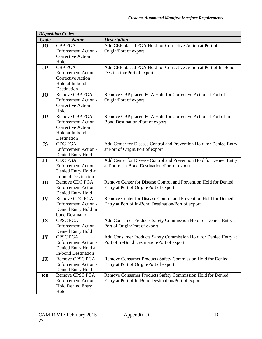|                | <b>Disposition Codes</b>                     |                                                                     |
|----------------|----------------------------------------------|---------------------------------------------------------------------|
| Code           | <b>Name</b>                                  | <b>Description</b>                                                  |
| <b>JO</b>      | <b>CBP PGA</b>                               | Add CBP placed PGA Hold for Corrective Action at Port of            |
|                | Enforcement Action -                         | Origin/Port of export                                               |
|                | <b>Corrective Action</b>                     |                                                                     |
|                | Hold                                         |                                                                     |
| J <sub>P</sub> | <b>CBP PGA</b>                               | Add CBP placed PGA Hold for Corrective Action at Port of In-Bond    |
|                | <b>Enforcement Action -</b>                  | Destination/Port of export                                          |
|                | <b>Corrective Action</b>                     |                                                                     |
|                | Hold at In-bond                              |                                                                     |
|                | Destination                                  |                                                                     |
| <b>JQ</b>      | Remove CBP PGA                               | Remove CBP placed PGA Hold for Corrective Action at Port of         |
|                | <b>Enforcement Action -</b>                  | Origin/Port of export                                               |
|                | <b>Corrective Action</b>                     |                                                                     |
|                | Hold                                         |                                                                     |
| <b>JR</b>      | <b>Remove CBP PGA</b>                        | Remove CBP placed PGA Hold for Corrective Action at Port of In-     |
|                | <b>Enforcement Action -</b>                  | Bond Destination /Port of export                                    |
|                | <b>Corrective Action</b>                     |                                                                     |
|                | Hold at In-bond                              |                                                                     |
|                | Destination                                  |                                                                     |
| <b>JS</b>      | <b>CDC PGA</b>                               | Add Center for Disease Control and Prevention Hold for Denied Entry |
|                | <b>Enforcement Action -</b>                  | at Port of Origin/Port of export                                    |
|                | Denied Entry Hold                            |                                                                     |
| <b>JT</b>      | <b>CDC PGA</b>                               | Add Center for Disease Control and Prevention Hold for Denied Entry |
|                | <b>Enforcement Action -</b>                  | at Port of In-Bond Destination /Port of export                      |
|                | Denied Entry Hold at                         |                                                                     |
|                | <b>In-bond Destination</b><br>Remove CDC PGA | Remove Center for Disease Control and Prevention Hold for Denied    |
| JU             | <b>Enforcement Action -</b>                  | Entry at Port of Origin/Port of export                              |
|                | Denied Entry Hold                            |                                                                     |
| JV             | Remove CDC PGA                               | Remove Center for Disease Control and Prevention Hold for Denied    |
|                | <b>Enforcement Action -</b>                  | Entry at Port of In-Bond Destination/Port of export                 |
|                | Denied Entry Hold In-                        |                                                                     |
|                | bond Destination                             |                                                                     |
| JX             | <b>CPSC PGA</b>                              | Add Consumer Products Safety Commission Hold for Denied Entry at    |
|                | <b>Enforcement Action -</b>                  | Port of Origin/Port of export                                       |
|                | Denied Entry Hold                            |                                                                     |
| JY             | <b>CPSC PGA</b>                              | Add Consumer Products Safety Commission Hold for Denied Entry at    |
|                | Enforcement Action -                         | Port of In-Bond Destination/Port of export                          |
|                | Denied Entry Hold at                         |                                                                     |
|                | <b>In-bond Destination</b>                   |                                                                     |
| JZ             | Remove CPSC PGA                              | Remove Consumer Products Safety Commission Hold for Denied          |
|                | Enforcement Action -                         | Entry at Port of Origin/Port of export                              |
|                | Denied Entry Hold                            |                                                                     |
| $\mathbf{K0}$  | Remove CPSC PGA                              | Remove Consumer Products Safety Commission Hold for Denied          |
|                | Enforcement Action -                         | Entry at Port of In-Bond Destination/Port of export                 |
|                | <b>Hold Denied Entry</b>                     |                                                                     |
|                | Hold                                         |                                                                     |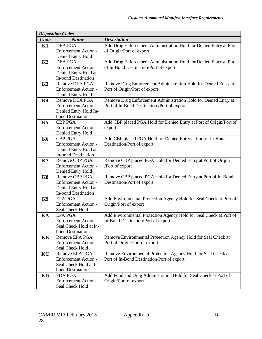|           | <b>Disposition Codes</b>    |                                                                    |
|-----------|-----------------------------|--------------------------------------------------------------------|
| Code      | <b>Name</b>                 | <b>Description</b>                                                 |
| K1        | <b>DEA PGA</b>              | Add Drug Enforcement Administration Hold for Denied Entry at Port  |
|           | Enforcement Action -        | of Origin/Port of export                                           |
|           | Denied Entry Hold           |                                                                    |
| K2        | <b>DEA PGA</b>              | Add Drug Enforcement Administration Hold for Denied Entry at Port  |
|           | <b>Enforcement Action -</b> | of In-Bond Destination/Port of export                              |
|           | Denied Entry Hold at        |                                                                    |
|           | <b>In-bond Destination</b>  |                                                                    |
| K3        | Remove DEA PGA              | Remove Drug Enforcement Administration Hold for Denied Entry at    |
|           | Enforcement Action -        | Port of Origin/Port of export                                      |
|           | Denied Entry Hold           |                                                                    |
| <b>K4</b> | Remove DEA PGA              | Remove Drug Enforcement Administration Hold for Denied Entry at    |
|           | Enforcement Action -        | Port of In-Bond Destination /Port of export                        |
|           | Denied Entry Hold In-       |                                                                    |
|           | bond Destination            |                                                                    |
| K5        | <b>CBP PGA</b>              | Add CBP placed PGA Hold for Denied Entry at Port of Origin/Port of |
|           | Enforcement Action -        | export                                                             |
|           | Denied Entry Hold           |                                                                    |
| <b>K6</b> | <b>CBP PGA</b>              | Add CBP placed PGA Hold for Denied Entry at Port of In-Bond        |
|           | Enforcement Action -        | Destination/Port of export                                         |
|           | Denied Entry Hold at        |                                                                    |
|           | <b>In-bond Destination</b>  |                                                                    |
| K7        | <b>Remove CBP PGA</b>       | Remove CBP placed PGA Hold for Denied Entry at Port of Origin      |
|           | Enforcement Action -        | /Port of export                                                    |
|           | Denied Entry Hold           |                                                                    |
| <b>K8</b> | <b>Remove CBP PGA</b>       | Remove CBP placed PGA Hold for Denied Entry at Port of In-Bond     |
|           | Enforcement Action -        | Destination/Port of export                                         |
|           | Denied Entry Hold at        |                                                                    |
|           | <b>In-bond Destination</b>  |                                                                    |
| <b>K9</b> | <b>EPA PGA</b>              | Add Environmental Protection Agency Hold for Seal Check at Port of |
|           | Enforcement Action -        | Origin/Port of export                                              |
|           | Seal Check Hold             |                                                                    |
| KA        | <b>EPA PGA</b>              | Add Environmental Protection Agency Hold for Seal Check at Port of |
|           | Enforcement Action -        | In-Bond Destination/Port of export                                 |
|           | Seal Check Hold at In-      |                                                                    |
|           | bond Destination            |                                                                    |
| <b>KB</b> | Remove EPA PGA              | Remove Environmental Protection Agency Hold for Seal Check at      |
|           | Enforcement Action -        | Port of Origin/Port of export                                      |
|           | Seal Check Hold             |                                                                    |
| KC        | Remove EPA PGA              | Remove Environmental Protection Agency Hold for Seal Check at      |
|           | Enforcement Action -        | Port of In-Bond Destination/Port of export                         |
|           | Seal Check Hold at In-      |                                                                    |
|           | bond Destination            |                                                                    |
| KD        | <b>FDA PGA</b>              | Add Food and Drug Administration Hold for Seal Check at Port of    |
|           | Enforcement Action -        | Origin/Port of export                                              |
|           | Seal Check Hold             |                                                                    |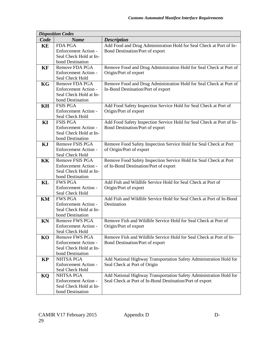|           | <b>Disposition Codes</b>           |                                                                       |
|-----------|------------------------------------|-----------------------------------------------------------------------|
| Code      | <b>Name</b>                        | <b>Description</b>                                                    |
| KE        | <b>FDA PGA</b>                     | Add Food and Drug Administration Hold for Seal Check at Port of In-   |
|           | Enforcement Action -               | Bond Destination/Port of export                                       |
|           | Seal Check Hold at In-             |                                                                       |
|           | bond Destination                   |                                                                       |
| KF        | Remove FDA PGA                     | Remove Food and Drug Administration Hold for Seal Check at Port of    |
|           | <b>Enforcement Action -</b>        | Origin/Port of export                                                 |
|           | Seal Check Hold                    |                                                                       |
| KG        | Remove FDA PGA                     | Remove Food and Drug Administration Hold for Seal Check at Port of    |
|           | <b>Enforcement Action -</b>        | In-Bond Destination/Port of export                                    |
|           | Seal Check Hold at In-             |                                                                       |
|           | bond Destination                   |                                                                       |
| KH        | <b>FSIS PGA</b>                    | Add Food Safety Inspection Service Hold for Seal Check at Port of     |
|           | <b>Enforcement Action -</b>        | Origin/Port of export                                                 |
|           | Seal Check Hold                    |                                                                       |
| KI        | <b>FSIS PGA</b>                    | Add Food Safety Inspection Service Hold for Seal Check at Port of In- |
|           | <b>Enforcement Action -</b>        | Bond Destination/Port of export                                       |
|           | Seal Check Hold at In-             |                                                                       |
|           | bond Destination                   |                                                                       |
| KJ        | Remove FSIS PGA                    | Remove Food Safety Inspection Service Hold for Seal Check at Port     |
|           | <b>Enforcement Action -</b>        | of Origin/Port of export                                              |
|           | Seal Check Hold                    |                                                                       |
| KK        | Remove FSIS PGA                    | Remove Food Safety Inspection Service Hold for Seal Check at Port     |
|           | <b>Enforcement Action -</b>        | of In-Bond Destination/Port of export                                 |
|           | Seal Check Hold at In-             |                                                                       |
| KL        | bond Destination<br><b>FWS PGA</b> | Add Fish and Wildlife Service Hold for Seal Check at Port of          |
|           | <b>Enforcement Action -</b>        | Origin/Port of export                                                 |
|           | Seal Check Hold                    |                                                                       |
| KM        | <b>FWS PGA</b>                     | Add Fish and Wildlife Service Hold for Seal Check at Port of In-Bond  |
|           | <b>Enforcement Action -</b>        | Destination                                                           |
|           | Seal Check Hold at In-             |                                                                       |
|           | bond Destination                   |                                                                       |
| KN        | Remove FWS PGA                     | Remove Fish and Wildlife Service Hold for Seal Check at Port of       |
|           | Enforcement Action -               | Origin/Port of export                                                 |
|           | Seal Check Hold                    |                                                                       |
| KO        | Remove FWS PGA                     | Remove Fish and Wildlife Service Hold for Seal Check at Port of In-   |
|           | <b>Enforcement Action -</b>        | Bond Destination/Port of export                                       |
|           | Seal Check Hold at In-             |                                                                       |
|           | bond Destination                   |                                                                       |
| <b>KP</b> | <b>NHTSA PGA</b>                   | Add National Highway Transportation Safety Administration Hold for    |
|           | Enforcement Action -               | Seal Check at Port of Origin                                          |
|           | Seal Check Hold                    |                                                                       |
| KQ        | <b>NHTSA PGA</b>                   | Add National Highway Transportation Safety Administration Hold for    |
|           | Enforcement Action -               | Seal Check at Port of In-Bond Destination/Port of export              |
|           | Seal Check Hold at In-             |                                                                       |
|           | bond Destination                   |                                                                       |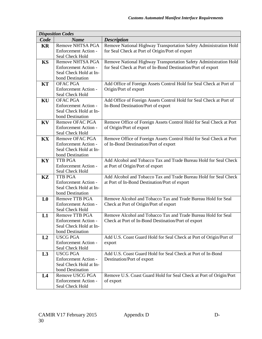|                | <b>Disposition Codes</b>    |                                                                     |
|----------------|-----------------------------|---------------------------------------------------------------------|
| Code           | <b>Name</b>                 | <b>Description</b>                                                  |
| <b>KR</b>      | <b>Remove NHTSA PGA</b>     | Remove National Highway Transportation Safety Administration Hold   |
|                | Enforcement Action -        | for Seal Check at Port of Origin/Port of export                     |
|                | Seal Check Hold             |                                                                     |
| <b>KS</b>      | Remove NHTSA PGA            | Remove National Highway Transportation Safety Administration Hold   |
|                | <b>Enforcement Action -</b> | for Seal Check at Port of In-Bond Destination/Port of export        |
|                | Seal Check Hold at In-      |                                                                     |
|                | bond Destination            |                                                                     |
| <b>KT</b>      | <b>OFAC PGA</b>             | Add Office of Foreign Assets Control Hold for Seal Check at Port of |
|                | <b>Enforcement Action -</b> | Origin/Port of export                                               |
|                | Seal Check Hold             |                                                                     |
| KU             | <b>OFAC PGA</b>             | Add Office of Foreign Assets Control Hold for Seal Check at Port of |
|                | <b>Enforcement Action -</b> | In-Bond Destination/Port of export                                  |
|                | Seal Check Hold at In-      |                                                                     |
|                | bond Destination            |                                                                     |
| KV             | Remove OFAC PGA             | Remove Office of Foreign Assets Control Hold for Seal Check at Port |
|                | Enforcement Action -        | of Origin/Port of export                                            |
|                | Seal Check Hold             |                                                                     |
| <b>KX</b>      | Remove OFAC PGA             | Remove Office of Foreign Assets Control Hold for Seal Check at Port |
|                | <b>Enforcement Action -</b> | of In-Bond Destination/Port of export                               |
|                | Seal Check Hold at In-      |                                                                     |
|                | bond Destination            |                                                                     |
| KY             | <b>TTB PGA</b>              | Add Alcohol and Tobacco Tax and Trade Bureau Hold for Seal Check    |
|                | <b>Enforcement Action -</b> | at Port of Origin/Port of export                                    |
|                | Seal Check Hold             |                                                                     |
| <b>KZ</b>      | <b>TTB PGA</b>              | Add Alcohol and Tobacco Tax and Trade Bureau Hold for Seal Check    |
|                | <b>Enforcement Action -</b> | at Port of In-Bond Destination/Port of export                       |
|                | Seal Check Hold at In-      |                                                                     |
|                | bond Destination            |                                                                     |
| L <sub>0</sub> | <b>Remove TTB PGA</b>       | Remove Alcohol and Tobacco Tax and Trade Bureau Hold for Seal       |
|                | <b>Enforcement Action -</b> | Check at Port of Origin/Port of export                              |
|                | Seal Check Hold             |                                                                     |
| L1             | Remove TTB PGA              | Remove Alcohol and Tobacco Tax and Trade Bureau Hold for Seal       |
|                | Enforcement Action -        | Check at Port of In-Bond Destination/Port of export                 |
|                | Seal Check Hold at In-      |                                                                     |
|                | bond Destination            |                                                                     |
| L2             | <b>USCG PGA</b>             | Add U.S. Coast Guard Hold for Seal Check at Port of Origin/Port of  |
|                | <b>Enforcement Action -</b> | export                                                              |
|                | Seal Check Hold             |                                                                     |
| L3             | <b>USCG PGA</b>             | Add U.S. Coast Guard Hold for Seal Check at Port of In-Bond         |
|                | <b>Enforcement Action -</b> | Destination/Port of export                                          |
|                | Seal Check Hold at In-      |                                                                     |
|                | bond Destination            |                                                                     |
| L4             | Remove USCG PGA             | Remove U.S. Coast Guard Hold for Seal Check at Port of Origin/Port  |
|                | Enforcement Action -        | of export                                                           |
|                | Seal Check Hold             |                                                                     |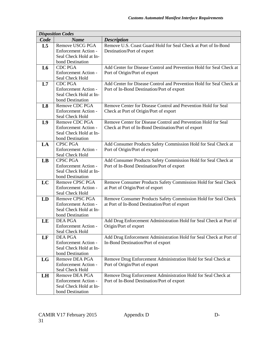|                | <b>Disposition Codes</b>                              |                                                                      |
|----------------|-------------------------------------------------------|----------------------------------------------------------------------|
| Code           | <b>Name</b>                                           | <b>Description</b>                                                   |
| L <sub>5</sub> | Remove USCG PGA                                       | Remove U.S. Coast Guard Hold for Seal Check at Port of In-Bond       |
|                | Enforcement Action -                                  | Destination/Port of export                                           |
|                | Seal Check Hold at In-                                |                                                                      |
|                | bond Destination                                      |                                                                      |
| L6             | <b>CDC PGA</b>                                        | Add Center for Disease Control and Prevention Hold for Seal Check at |
|                | Enforcement Action -                                  | Port of Origin/Port of export                                        |
|                | Seal Check Hold                                       |                                                                      |
| L7             | <b>CDC PGA</b>                                        | Add Center for Disease Control and Prevention Hold for Seal Check at |
|                | <b>Enforcement Action -</b>                           | Port of In-Bond Destination/Port of export                           |
|                | Seal Check Hold at In-                                |                                                                      |
|                | bond Destination                                      |                                                                      |
| L8             | Remove CDC PGA                                        | Remove Center for Disease Control and Prevention Hold for Seal       |
|                | <b>Enforcement Action -</b>                           | Check at Port of Origin/Port of export                               |
|                | Seal Check Hold                                       |                                                                      |
| L9             | Remove CDC PGA                                        | Remove Center for Disease Control and Prevention Hold for Seal       |
|                | <b>Enforcement Action -</b><br>Seal Check Hold at In- | Check at Port of In-Bond Destination/Port of export                  |
|                | bond Destination                                      |                                                                      |
| LA             | <b>CPSC PGA</b>                                       | Add Consumer Products Safety Commission Hold for Seal Check at       |
|                | Enforcement Action -                                  | Port of Origin/Port of export                                        |
|                | Seal Check Hold                                       |                                                                      |
| LB             | <b>CPSC PGA</b>                                       | Add Consumer Products Safety Commission Hold for Seal Check at       |
|                | <b>Enforcement Action -</b>                           | Port of In-Bond Destination/Port of export                           |
|                | Seal Check Hold at In-                                |                                                                      |
|                | bond Destination                                      |                                                                      |
| LC             | Remove CPSC PGA                                       | Remove Consumer Products Safety Commission Hold for Seal Check       |
|                | Enforcement Action -                                  | at Port of Origin/Port of export                                     |
|                | Seal Check Hold                                       |                                                                      |
| LD             | Remove CPSC PGA                                       | Remove Consumer Products Safety Commission Hold for Seal Check       |
|                | <b>Enforcement Action -</b>                           | at Port of In-Bond Destination/Port of export                        |
|                | Seal Check Hold at In-                                |                                                                      |
|                | bond Destination                                      |                                                                      |
| LE             | <b>DEA PGA</b>                                        | Add Drug Enforcement Administration Hold for Seal Check at Port of   |
|                | Enforcement Action -                                  | Origin/Port of export                                                |
|                | Seal Check Hold                                       |                                                                      |
| LF             | <b>DEA PGA</b>                                        | Add Drug Enforcement Administration Hold for Seal Check at Port of   |
|                | Enforcement Action -<br>Seal Check Hold at In-        | In-Bond Destination/Port of export                                   |
|                | bond Destination                                      |                                                                      |
| LG             | Remove DEA PGA                                        | Remove Drug Enforcement Administration Hold for Seal Check at        |
|                | Enforcement Action -                                  | Port of Origin/Port of export                                        |
|                | Seal Check Hold                                       |                                                                      |
| LH             | Remove DEA PGA                                        | Remove Drug Enforcement Administration Hold for Seal Check at        |
|                | <b>Enforcement Action -</b>                           | Port of In-Bond Destination/Port of export                           |
|                | Seal Check Hold at In-                                |                                                                      |
|                | bond Destination                                      |                                                                      |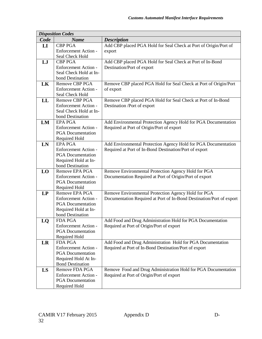|                        | <b>Disposition Codes</b>                         |                                                                      |
|------------------------|--------------------------------------------------|----------------------------------------------------------------------|
| Code                   | <b>Name</b>                                      | <b>Description</b>                                                   |
| $\mathbf{L}\mathbf{I}$ | <b>CBP PGA</b>                                   | Add CBP placed PGA Hold for Seal Check at Port of Origin/Port of     |
|                        | Enforcement Action -                             | export                                                               |
|                        | Seal Check Hold                                  |                                                                      |
| LJ                     | <b>CBP PGA</b>                                   | Add CBP placed PGA Hold for Seal Check at Port of In-Bond            |
|                        | <b>Enforcement Action -</b>                      | Destination/Port of export                                           |
|                        | Seal Check Hold at In-                           |                                                                      |
|                        | bond Destination                                 |                                                                      |
| LK                     | Remove CBP PGA                                   | Remove CBP placed PGA Hold for Seal Check at Port of Origin/Port     |
|                        | <b>Enforcement Action -</b>                      | of export                                                            |
|                        | Seal Check Hold                                  |                                                                      |
| LL                     | <b>Remove CBP PGA</b>                            | Remove CBP placed PGA Hold for Seal Check at Port of In-Bond         |
|                        | <b>Enforcement Action -</b>                      | Destination /Port of export                                          |
|                        | Seal Check Hold at In-                           |                                                                      |
|                        | bond Destination                                 |                                                                      |
| LM                     | <b>EPA PGA</b>                                   | Add Environmental Protection Agency Hold for PGA Documentation       |
|                        | Enforcement Action -                             | Required at Port of Origin/Port of export                            |
|                        | <b>PGA</b> Documentation                         |                                                                      |
|                        | Required Hold                                    |                                                                      |
| LN                     | <b>EPA PGA</b>                                   | Add Environmental Protection Agency Hold for PGA Documentation       |
|                        | <b>Enforcement Action -</b>                      | Required at Port of In-Bond Destination/Port of export               |
|                        | <b>PGA</b> Documentation                         |                                                                      |
|                        | Required Hold at In-                             |                                                                      |
|                        | bond Destination                                 |                                                                      |
| LO                     | Remove EPA PGA                                   | Remove Environmental Protection Agency Hold for PGA                  |
|                        | <b>Enforcement Action -</b>                      | Documentation Required at Port of Origin/Port of export              |
|                        | <b>PGA</b> Documentation                         |                                                                      |
|                        | Required Hold                                    |                                                                      |
| LP                     | Remove EPA PGA                                   | Remove Environmental Protection Agency Hold for PGA                  |
|                        | Enforcement Action -                             | Documentation Required at Port of In-Bond Destination/Port of export |
|                        | <b>PGA</b> Documentation                         |                                                                      |
|                        | Required Hold at In-                             |                                                                      |
|                        | bond Destination                                 |                                                                      |
| LO                     | <b>FDA PGA</b>                                   | Add Food and Drug Administration Hold for PGA Documentation          |
|                        | Enforcement Action -                             | Required at Port of Origin/Port of export                            |
|                        | <b>PGA</b> Documentation                         |                                                                      |
|                        | Required Hold                                    |                                                                      |
| LR                     | <b>FDA PGA</b>                                   | Add Food and Drug Administration Hold for PGA Documentation          |
|                        | Enforcement Action -                             | Required at Port of In-Bond Destination/Port of export               |
|                        | <b>PGA</b> Documentation                         |                                                                      |
|                        | Required Hold At In-                             |                                                                      |
|                        | <b>Bond Destination</b>                          |                                                                      |
| LS                     | Remove FDA PGA                                   | Remove Food and Drug Administration Hold for PGA Documentation       |
|                        | Enforcement Action -<br><b>PGA</b> Documentation | Required at Port of Origin/Port of export                            |
|                        |                                                  |                                                                      |
|                        | Required Hold                                    |                                                                      |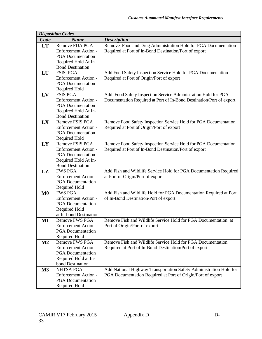|                | <b>Disposition Codes</b>                  |                                                                                                       |
|----------------|-------------------------------------------|-------------------------------------------------------------------------------------------------------|
| Code           | <b>Name</b>                               | <b>Description</b>                                                                                    |
| <b>LT</b>      | Remove FDA PGA                            | Remove Food and Drug Administration Hold for PGA Documentation                                        |
|                | Enforcement Action -                      | Required at Port of In-Bond Destination/Port of export                                                |
|                | <b>PGA</b> Documentation                  |                                                                                                       |
|                | Required Hold At In-                      |                                                                                                       |
|                | <b>Bond Destination</b>                   |                                                                                                       |
| LU             | <b>FSIS PGA</b>                           | Add Food Safety Inspection Service Hold for PGA Documentation                                         |
|                | <b>Enforcement Action -</b>               | Required at Port of Origin/Port of export                                                             |
|                | <b>PGA</b> Documentation                  |                                                                                                       |
|                | Required Hold                             |                                                                                                       |
| LV             | <b>FSIS PGA</b>                           | Add Food Safety Inspection Service Administration Hold for PGA                                        |
|                | Enforcement Action -                      | Documentation Required at Port of In-Bond Destination/Port of export                                  |
|                | <b>PGA</b> Documentation                  |                                                                                                       |
|                | Required Hold At In-                      |                                                                                                       |
|                | <b>Bond Destination</b>                   |                                                                                                       |
| LX             | Remove FSIS PGA                           | Remove Food Safety Inspection Service Hold for PGA Documentation                                      |
|                | Enforcement Action -                      | Required at Port of Origin/Port of export                                                             |
|                | <b>PGA</b> Documentation                  |                                                                                                       |
|                | Required Hold                             |                                                                                                       |
| LY             | <b>Remove FSIS PGA</b>                    | Remove Food Safety Inspection Service Hold for PGA Documentation                                      |
|                | Enforcement Action -                      | Required at Port of In-Bond Destination/Port of export                                                |
|                | <b>PGA</b> Documentation                  |                                                                                                       |
|                | Required Hold At In-                      |                                                                                                       |
|                | <b>Bond Destination</b><br><b>FWS PGA</b> |                                                                                                       |
| LZ             | <b>Enforcement Action -</b>               | Add Fish and Wildlife Service Hold for PGA Documentation Required<br>at Port of Origin/Port of export |
|                | <b>PGA</b> Documentation                  |                                                                                                       |
|                | Required Hold                             |                                                                                                       |
| M <sub>0</sub> | <b>FWS PGA</b>                            | Add Fish and Wildlife Hold for PGA Documentation Required at Port                                     |
|                | Enforcement Action -                      | of In-Bond Destination/Port of export                                                                 |
|                | <b>PGA</b> Documentation                  |                                                                                                       |
|                | Required Hold                             |                                                                                                       |
|                | at In-bond Destination                    |                                                                                                       |
| $M1$           | <b>Remove FWS PGA</b>                     | Remove Fish and Wildlife Service Hold for PGA Documentation at                                        |
|                | Enforcement Action -                      | Port of Origin/Port of export                                                                         |
|                | <b>PGA</b> Documentation                  |                                                                                                       |
|                | Required Hold                             |                                                                                                       |
| M2             | <b>Remove FWS PGA</b>                     | Remove Fish and Wildlife Service Hold for PGA Documentation                                           |
|                | <b>Enforcement Action -</b>               | Required at Port of In-Bond Destination/Port of export                                                |
|                | <b>PGA</b> Documentation                  |                                                                                                       |
|                | Required Hold at In-                      |                                                                                                       |
|                | bond Destination                          |                                                                                                       |
| M3             | <b>NHTSA PGA</b>                          | Add National Highway Transportation Safety Administration Hold for                                    |
|                | Enforcement Action -                      | PGA Documentation Required at Port of Origin/Port of export                                           |
|                | <b>PGA</b> Documentation                  |                                                                                                       |
|                | Required Hold                             |                                                                                                       |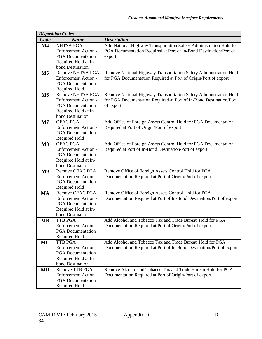|                        | <b>Disposition Codes</b>    |                                                                      |
|------------------------|-----------------------------|----------------------------------------------------------------------|
| Code                   | <b>Name</b>                 | <b>Description</b>                                                   |
| $\mathbf{M}4$          | <b>NHTSA PGA</b>            | Add National Highway Transportation Safety Administration Hold for   |
|                        | Enforcement Action -        | PGA Documentation Required at Port of In-Bond Destination/Port of    |
|                        | <b>PGA</b> Documentation    | export                                                               |
|                        | Required Hold at In-        |                                                                      |
|                        | bond Destination            |                                                                      |
| M <sub>5</sub>         | <b>Remove NHTSA PGA</b>     | Remove National Highway Transportation Safety Administration Hold    |
|                        | Enforcement Action -        | for PGA Documentation Required at Port of Origin/Port of export      |
|                        | <b>PGA</b> Documentation    |                                                                      |
|                        | Required Hold               |                                                                      |
| M6                     | Remove NHTSA PGA            | Remove National Highway Transportation Safety Administration Hold    |
|                        | <b>Enforcement Action -</b> | for PGA Documentation Required at Port of In-Bond Destination/Port   |
|                        | <b>PGA</b> Documentation    | of export                                                            |
|                        | Required Hold at In-        |                                                                      |
|                        | bond Destination            |                                                                      |
| $\mathbf{M}$           | OFAC PGA                    | Add Office of Foreign Assets Control Hold for PGA Documentation      |
|                        | <b>Enforcement Action -</b> | Required at Port of Origin/Port of export                            |
|                        | <b>PGA</b> Documentation    |                                                                      |
|                        | Required Hold               |                                                                      |
| $\overline{\text{M8}}$ | <b>OFAC PGA</b>             | Add Office of Foreign Assets Control Hold for PGA Documentation      |
|                        | Enforcement Action -        | Required at Port of In-Bond Destination/Port of export               |
|                        | <b>PGA</b> Documentation    |                                                                      |
|                        | Required Hold at In-        |                                                                      |
|                        | bond Destination            |                                                                      |
| M <sub>9</sub>         | Remove OFAC PGA             | Remove Office of Foreign Assets Control Hold for PGA                 |
|                        | <b>Enforcement Action -</b> | Documentation Required at Port of Origin/Port of export              |
|                        | <b>PGA</b> Documentation    |                                                                      |
|                        | Required Hold               |                                                                      |
| <b>MA</b>              | Remove OFAC PGA             | Remove Office of Foreign Assets Control Hold for PGA                 |
|                        | Enforcement Action -        | Documentation Required at Port of In-Bond Destination/Port of export |
|                        | <b>PGA</b> Documentation    |                                                                      |
|                        | Required Hold at In-        |                                                                      |
|                        | bond Destination            |                                                                      |
| <b>MB</b>              | TTB PGA                     | Add Alcohol and Tobacco Tax and Trade Bureau Hold for PGA            |
|                        | <b>Enforcement Action -</b> | Documentation Required at Port of Origin/Port of export              |
|                        | <b>PGA</b> Documentation    |                                                                      |
|                        | Required Hold               |                                                                      |
| <b>MC</b>              | TTB PGA                     | Add Alcohol and Tobacco Tax and Trade Bureau Hold for PGA            |
|                        | <b>Enforcement Action -</b> | Documentation Required at Port of In-Bond Destination/Port of export |
|                        | <b>PGA</b> Documentation    |                                                                      |
|                        | Required Hold at In-        |                                                                      |
|                        | bond Destination            |                                                                      |
| <b>MD</b>              | Remove TTB PGA              | Remove Alcohol and Tobacco Tax and Trade Bureau Hold for PGA         |
|                        | Enforcement Action -        | Documentation Required at Port of Origin/Port of export              |
|                        | <b>PGA</b> Documentation    |                                                                      |
|                        | Required Hold               |                                                                      |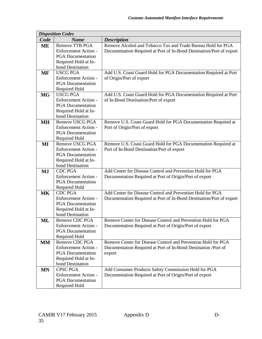|           | <b>Disposition Codes</b>            |                                                                      |
|-----------|-------------------------------------|----------------------------------------------------------------------|
| Code      | <b>Name</b>                         | <b>Description</b>                                                   |
| ME        | Remove TTB PGA                      | Remove Alcohol and Tobacco Tax and Trade Bureau Hold for PGA         |
|           | Enforcement Action -                | Documentation Required at Port of In-Bond Destination/Port of export |
|           | <b>PGA</b> Documentation            |                                                                      |
|           | Required Hold at In-                |                                                                      |
|           | bond Destination                    |                                                                      |
| <b>MF</b> | <b>USCG PGA</b>                     | Add U.S. Coast Guard Hold for PGA Documentation Required at Port     |
|           | Enforcement Action -                | of Origin/Port of export                                             |
|           | <b>PGA</b> Documentation            |                                                                      |
|           | Required Hold                       |                                                                      |
| <b>MG</b> | <b>USCG PGA</b>                     | Add U.S. Coast Guard Hold for PGA Documentation Required at Port     |
|           | <b>Enforcement Action -</b>         | of In-Bond Destination/Port of export                                |
|           | <b>PGA</b> Documentation            |                                                                      |
|           | Required Hold at In-                |                                                                      |
|           | bond Destination                    |                                                                      |
| <b>MH</b> | Remove USCG PGA                     | Remove U.S. Coast Guard Hold for PGA Documentation Required at       |
|           | Enforcement Action -                | Port of Origin/Port of export                                        |
|           | <b>PGA</b> Documentation            |                                                                      |
|           | Required Hold                       |                                                                      |
| MI        | Remove USCG PGA                     | Remove U.S. Coast Guard Hold for PGA Documentation Required at       |
|           | <b>Enforcement Action -</b>         | Port of In-Bond Destination/Port of export                           |
|           | <b>PGA</b> Documentation            |                                                                      |
|           | Required Hold at In-                |                                                                      |
|           | bond Destination                    |                                                                      |
| <b>MJ</b> | <b>CDC PGA</b>                      | Add Center for Disease Control and Prevention Hold for PGA           |
|           | Enforcement Action -                | Documentation Required at Port of Origin/Port of export              |
|           | <b>PGA</b> Documentation            |                                                                      |
|           | Required Hold                       |                                                                      |
| <b>MK</b> | <b>CDC PGA</b>                      | Add Center for Disease Control and Prevention Hold for PGA           |
|           | <b>Enforcement Action -</b>         | Documentation Required at Port of In-Bond Destination/Port of export |
|           | <b>PGA</b> Documentation            |                                                                      |
|           | Required Hold at In-                |                                                                      |
|           | bond Destination                    |                                                                      |
| ML        | Remove CDC PGA                      | Remove Center for Disease Control and Prevention Hold for PGA        |
|           | <b>Enforcement Action -</b>         | Documentation Required at Port of Origin/Port of export              |
|           | <b>PGA</b> Documentation            |                                                                      |
|           | Required Hold<br>Remove CDC PGA     | Remove Center for Disease Control and Prevention Hold for PGA        |
| <b>MM</b> | <b>Enforcement Action -</b>         |                                                                      |
|           |                                     | Documentation Required at Port of In-Bond Destination /Port of       |
|           | <b>PGA</b> Documentation            | export                                                               |
|           | Required Hold at In-                |                                                                      |
|           | bond Destination<br><b>CPSC PGA</b> |                                                                      |
| <b>MN</b> |                                     | Add Consumer Products Safety Commission Hold for PGA                 |
|           | Enforcement Action -                | Documentation Required at Port of Origin/Port of export              |
|           | <b>PGA</b> Documentation            |                                                                      |
|           | Required Hold                       |                                                                      |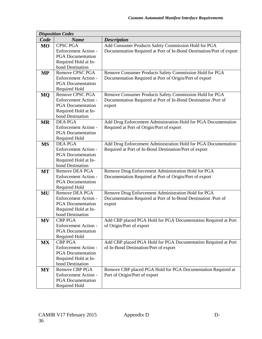|           | <b>Disposition Codes</b>    |                                                                      |
|-----------|-----------------------------|----------------------------------------------------------------------|
| Code      | <b>Name</b>                 | <b>Description</b>                                                   |
| <b>MO</b> | <b>CPSC PGA</b>             | Add Consumer Products Safety Commission Hold for PGA                 |
|           | Enforcement Action -        | Documentation Required at Port of In-Bond Destination/Port of export |
|           | <b>PGA</b> Documentation    |                                                                      |
|           | Required Hold at In-        |                                                                      |
|           | bond Destination            |                                                                      |
| <b>MP</b> | Remove CPSC PGA             | Remove Consumer Products Safety Commission Hold for PGA              |
|           | Enforcement Action -        | Documentation Required at Port of Origin/Port of export              |
|           | <b>PGA</b> Documentation    |                                                                      |
|           | Required Hold               |                                                                      |
| <b>MQ</b> | Remove CPSC PGA             | Remove Consumer Products Safety Commission Hold for PGA              |
|           | Enforcement Action -        | Documentation Required at Port of In-Bond Destination /Port of       |
|           | <b>PGA</b> Documentation    | export                                                               |
|           | Required Hold at In-        |                                                                      |
|           | bond Destination            |                                                                      |
| <b>MR</b> | <b>DEA PGA</b>              | Add Drug Enforcement Administration Hold for PGA Documentation       |
|           | <b>Enforcement Action -</b> | Required at Port of Origin/Port of export                            |
|           | <b>PGA</b> Documentation    |                                                                      |
|           | Required Hold               |                                                                      |
| <b>MS</b> | <b>DEA PGA</b>              | Add Drug Enforcement Administration Hold for PGA Documentation       |
|           | <b>Enforcement Action -</b> | Required at Port of In-Bond Destination/Port of export               |
|           | <b>PGA</b> Documentation    |                                                                      |
|           | Required Hold at In-        |                                                                      |
|           | bond Destination            |                                                                      |
| <b>MT</b> | Remove DEA PGA              | Remove Drug Enforcement Administration Hold for PGA                  |
|           | <b>Enforcement Action -</b> | Documentation Required at Port of Origin/Port of export              |
|           | <b>PGA</b> Documentation    |                                                                      |
|           | Required Hold               |                                                                      |
| MU        | Remove DEA PGA              | Remove Drug Enforcement Administration Hold for PGA                  |
|           | <b>Enforcement Action -</b> | Documentation Required at Port of In-Bond Destination /Port of       |
|           | <b>PGA</b> Documentation    | export                                                               |
|           | Required Hold at In-        |                                                                      |
|           | bond Destination            |                                                                      |
| <b>MV</b> | <b>CBP PGA</b>              | Add CBP placed PGA Hold for PGA Documentation Required at Port       |
|           | <b>Enforcement Action -</b> | of Origin/Port of export                                             |
|           | <b>PGA</b> Documentation    |                                                                      |
|           | Required Hold               |                                                                      |
| MX        | <b>CBP PGA</b>              | Add CBP placed PGA Hold for PGA Documentation Required at Port       |
|           | Enforcement Action -        | of In-Bond Destination/Port of export                                |
|           | <b>PGA</b> Documentation    |                                                                      |
|           | Required Hold at In-        |                                                                      |
|           | bond Destination            |                                                                      |
| <b>MY</b> | Remove CBP PGA              | Remove CBP placed PGA Hold for PGA Documentation Required at         |
|           | Enforcement Action -        | Port of Origin/Port of export                                        |
|           | <b>PGA</b> Documentation    |                                                                      |
|           | Required Hold               |                                                                      |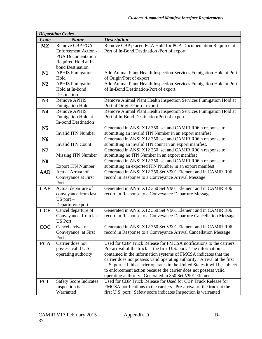|                         | <b>Disposition Codes</b>                    |                                                                             |
|-------------------------|---------------------------------------------|-----------------------------------------------------------------------------|
| Code                    | <b>Name</b>                                 | <b>Description</b>                                                          |
| $\mathbf{M} \mathbf{Z}$ | <b>Remove CBP PGA</b>                       | Remove CBP placed PGA Hold for PGA Documentation Required at                |
|                         | Enforcement Action -                        | Port of In-Bond Destination /Port of export                                 |
|                         | <b>PGA</b> Documentation                    |                                                                             |
|                         | Required Hold at In-                        |                                                                             |
|                         | bond Destination                            |                                                                             |
| N1                      | <b>APHIS Fumigation</b>                     | Add Animal Plant Health Inspection Services Fumigation Hold at Port         |
|                         | Hold                                        | of Origin/Port of export                                                    |
| N2                      | <b>APHIS Fumigation</b>                     | Add Animal Plant Health Inspection Services Fumigation Hold at Port         |
|                         | Hold at In-bond                             | of In-Bond Destination/Port of export                                       |
|                         | Destination                                 |                                                                             |
| N3                      | <b>Remove APHIS</b>                         | Remove Animal Plant Health Inspection Services Fumigation Hold at           |
|                         | <b>Fumigation Hold</b>                      | Port of Origin/Port of export                                               |
| N <sub>4</sub>          | <b>Remove APHIS</b>                         | Remove Animal Plant Health Inspection Services Fumigation Hold at           |
|                         | Fumigation Hold at                          | Port of In-Bond Destination/Port of export                                  |
|                         | <b>In-bond Destination</b>                  |                                                                             |
| N <sub>5</sub>          |                                             | Generated in ANSI X12 350 set and CAMIR R06 n response to                   |
|                         | <b>Invalid ITN Number</b>                   | submitting an invalid ITN Number in an export manifest                      |
| N <sub>6</sub>          |                                             | Generated in ANSI X12 350 set and CAMIR R06 n response to                   |
|                         | <b>Invalid ITN Count</b>                    | submitting an invalid ITN count in an export manifest.                      |
| N7                      |                                             | Generated in ANSI X12 350 set and CAMIR R06 n response to                   |
|                         | <b>Missing ITN Number</b>                   | submitting no ITN Number in an export manifest                              |
| <b>N8</b>               |                                             | Generated in ANSI X12 350 set and CAMIR R06 n response to                   |
|                         | <b>Export ITN Number</b>                    | submitting an exported ITN Number in an export manifest                     |
| <b>AAD</b>              | <b>Actual Arrival of</b>                    | Generated in ANSI X12 350 Set V901 Element and in CAMIR R06                 |
|                         | Conveyance at First                         | record in Response to a Conveyance Arrival Message                          |
|                         | Port                                        |                                                                             |
| <b>CAE</b>              | Actual departure of                         | Generated in ANSI X12 350 Set V901 Element and in CAMIR R06                 |
|                         | conveyance from last                        | record in Response to a Conveyance Departure Message                        |
|                         | $US$ port $-$                               |                                                                             |
|                         | Departure/export                            | Generated in ANSI X12 350 Set V901 Element and in CAMIR R06                 |
| <b>CCE</b>              | Cancel departure of<br>Conveyance from last |                                                                             |
|                         | <b>US Port</b>                              | record in Response to a Conveyance Departure Cancellation Message           |
| COC                     | Cancel arrival of                           | Generated in ANSI X12 350 Set V901 Element and in CAMIR R06                 |
|                         | Conveyance at First                         | record in Response to a Conveyance Arrival Cancellation Message             |
|                         | Port                                        |                                                                             |
| <b>FCA</b>              | Carrier does not                            | Used for CBP Truck Release for FMCSA notifications to the carriers.         |
|                         | possess valid U.S.                          | Pre-arrival of the truck at the first U.S. port: The information            |
|                         | operating authority                         | contained in the information systems of FMCSA indicates that the            |
|                         |                                             | carrier does not possess valid operating authority. Arrival at the first    |
|                         |                                             | U.S. port: If this carrier operates in the United States it will be subject |
|                         |                                             | to enforcement action because the carrier does not possess valid            |
|                         |                                             | operating authority. Generated in 350 Set V901 Element                      |
| <b>FCC</b>              | <b>Safety Score Indicates</b>               | Used for CBP Truck Release for Used for CBP Truck Release for               |
|                         | Inspection is                               | FMCSA notifications to the carriers. Pre-arrival of the truck at the        |
|                         | Warranted                                   | first U.S. port: Safety score indicates Inspection is warranted             |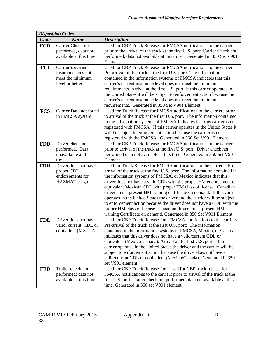|            | <b>Disposition Codes</b> |                                                                                                                                              |
|------------|--------------------------|----------------------------------------------------------------------------------------------------------------------------------------------|
| Code       | <b>Name</b>              | <b>Description</b>                                                                                                                           |
| <b>FCD</b> | Carrier Check not        | Used for CBP Truck Release for FMCSA notifications to the carriers                                                                           |
|            | performed, data not      | prior to the arrival of the truck at the first U.S. port: Carrier Check not                                                                  |
|            | available at this time   | performed; data not available at this time. Generated in 350 Set V901                                                                        |
|            |                          | Element                                                                                                                                      |
| <b>FCI</b> | Carrier's current        | Used for CBP Truck Release for FMCSA notifications to the carriers.                                                                          |
|            | insurance does not       | Pre-arrival of the truck at the first U.S. port: The information                                                                             |
|            | meet the minimum         | contained in the information systems of FMCSA indicates that this                                                                            |
|            | level or better          | carrier's current insurance level does not meet the minimum                                                                                  |
|            |                          | requirements. Arrival at the first U.S. port: If this carrier operates in                                                                    |
|            |                          | the United States it will be subject to enforcement action because the                                                                       |
|            |                          | carrier's current insurance level does not meet the minimum                                                                                  |
|            |                          | requirements. Generated in 350 Set V901 Element                                                                                              |
| <b>FCS</b> | Carrier Data not found   | Used for Truck Release for FMCSA notifications to the carriers prior                                                                         |
|            | in FMCSA system          | to arrival of the truck at the first U.S. port. The information contained                                                                    |
|            |                          | in the information systems of FMCSA Indicates that this carrier is not                                                                       |
|            |                          | registered with FMCSA. If this carrier operates in the United States it                                                                      |
|            |                          | will be subject to enforcement action because the carrier is not<br>registered with the FMCSA. Generated in 350 Set V901 Element             |
| <b>FDD</b> | Driver check not         | Used for CBP Truck Release for FMCSA notifications to the carriers                                                                           |
|            | performed. Data          | prior to arrival of the truck at the first U.S. port. Driver check not                                                                       |
|            | unavailable at this      | performed data not available at this time. Generated in 350 Set V901                                                                         |
|            | time.                    | Element                                                                                                                                      |
| <b>FDH</b> | Driver does not have     | Used for Truck Release for FMCSA notifications to the carriers. Pre-                                                                         |
|            | proper CDL               | arrival of the truck at the first U.S. port: The information contained in                                                                    |
|            | endorsements for         | the information systems of FMCSA, or Mexico indicates that this                                                                              |
|            | HAZMAT cargo             | driver does not have a valid CDL with the proper HM endorsement or                                                                           |
|            |                          | equivalent Mexican CDL with proper HM class of license. Canadian                                                                             |
|            |                          | drivers must present HM training certificate on demand. If this carrier                                                                      |
|            |                          | operates in the United States the driver and the carrier will be subject                                                                     |
|            |                          | to enforcement action because the driver does not have a CDL with the                                                                        |
|            |                          | proper HM class of license. Canadian drivers must present HM                                                                                 |
|            |                          | training Certificate on demand. Generated in 350 Set V901 Element                                                                            |
| <b>FDL</b> | Driver does not have     | Used for CBP Truck Release for FMCSA notifications to the carriers.                                                                          |
|            | valid, current CDL or    | Pre-arrival of the truck at the first U.S. port: The information                                                                             |
|            | equivalent (MX, CA)      | contained in the information systems of FMCSA, Mexico, or Canada                                                                             |
|            |                          | indicates that this driver does not have a valid/current CDL or                                                                              |
|            |                          | equivalent (Mexico/Canada). Arrival at the first U.S. port: If this                                                                          |
|            |                          | carrier operates in the United States the driver and the carrier will be<br>subject to enforcement action because the driver does not have a |
|            |                          | valid/current CDL or equivalent (Mexico/Canada). Generated in 350                                                                            |
|            |                          | set V901 element.                                                                                                                            |
| <b>FED</b> | Trailer check not        | Used for CBP Truck Release for Used for CBP truck release for                                                                                |
|            | performed; data not      | FMCSA notifications to the carriers prior to arrival of the truck at the                                                                     |
|            | available at this time.  | first U.S. port. Trailer check not performed; data not available at this                                                                     |
|            |                          | time. Generated in 350 set V901 element.                                                                                                     |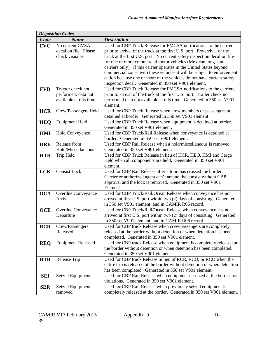|            | <b>Disposition Codes</b>  |                                                                                                                                     |  |  |  |  |
|------------|---------------------------|-------------------------------------------------------------------------------------------------------------------------------------|--|--|--|--|
| Code       | <b>Name</b>               | <b>Description</b>                                                                                                                  |  |  |  |  |
| <b>FVC</b> | No current CVSA           | Used for CBP Truck Release for FMCSA notifications to the carriers                                                                  |  |  |  |  |
|            | decal on file. Please     | prior to arrival of the truck at the first U.S. port. Pre-arrival of the                                                            |  |  |  |  |
|            | check visually.           | truck at the first U.S. port: No current safety inspection decal on file                                                            |  |  |  |  |
|            |                           | for one or more commercial motor vehicles (Mexican long-haul                                                                        |  |  |  |  |
|            |                           | carriers only). If this carrier operates in the United States beyond                                                                |  |  |  |  |
|            |                           | commercial zones with these vehicles it will be subject to enforcement                                                              |  |  |  |  |
|            |                           | action because one or more of the vehicles do not have current safety                                                               |  |  |  |  |
|            |                           | inspection decal. Generated in 350 set V901 element.                                                                                |  |  |  |  |
| <b>FVD</b> | Tractor check not         | Used for CBP Truck Release for FMCSA notifications to the carriers                                                                  |  |  |  |  |
|            | performed; data not       | prior to arrival of the truck at the first U.S. port. Trailer check not                                                             |  |  |  |  |
|            | available at this time.   | performed data not available at this time. Generated in 350 set V901                                                                |  |  |  |  |
|            |                           | element.                                                                                                                            |  |  |  |  |
| <b>HCR</b> | Crew/Passengers Held      | Used for CBP Truck Release when crew members or passengers are                                                                      |  |  |  |  |
|            |                           | detained at border. Generated in 350 set V901 element.                                                                              |  |  |  |  |
| <b>HEQ</b> | <b>Equipment Held</b>     | Used for CBP Truck Release when equipment is detained at border.                                                                    |  |  |  |  |
|            |                           | Generated in 350 set V901 element.                                                                                                  |  |  |  |  |
| <b>HMI</b> | <b>Hold Conveyance</b>    | Used for CBP Truck/Rail Release when conveyance is detained at                                                                      |  |  |  |  |
|            |                           | border. Generated in 350 set V901 element.                                                                                          |  |  |  |  |
| <b>HRE</b> | Release from              | Used for CBP Rail Release when a hold/miscellaneous is removed.                                                                     |  |  |  |  |
|            | Hold/Miscellaneous        | Generated in 350 set V901 element.                                                                                                  |  |  |  |  |
| <b>HTR</b> | Trip Held                 | Used for CBP Truck Release in lieu of HCR, HEQ, HMI and Cargo                                                                       |  |  |  |  |
|            |                           | Held when all components are held. Generated in 350 set V901                                                                        |  |  |  |  |
|            |                           | element.                                                                                                                            |  |  |  |  |
| <b>LCK</b> | <b>Consist Lock</b>       | Used for CBP Rail Release after a train has crossed the border.                                                                     |  |  |  |  |
|            |                           | Carrier or authorized agent can't amend the consist without CBP                                                                     |  |  |  |  |
|            |                           | approval and the lock is removed. Generated in 350 set V901                                                                         |  |  |  |  |
|            |                           | Element.                                                                                                                            |  |  |  |  |
| <b>OCA</b> | <b>Overdue Conveyance</b> | Used for CBP Truck/Rail/Ocean Release when conveyance has not                                                                       |  |  |  |  |
|            | Arrival                   | arrived at first U.S. port within twp (2) days of consisting. Generated                                                             |  |  |  |  |
|            |                           | in 350 set V901 element, and in CAMIR R06 record.                                                                                   |  |  |  |  |
| <b>OCE</b> | <b>Overdue Conveyance</b> | Used for CBP Truck/Rail/Ocean Release when conveyance has not                                                                       |  |  |  |  |
|            | Departure                 | arrived at first U.S. port within twp (2) days of consisting. Generated                                                             |  |  |  |  |
|            |                           | in 350 set V901 element, and in CAMIR R06 record.                                                                                   |  |  |  |  |
| <b>RCR</b> | Crew/Passengers           | Used for CBP truck Release when crew/passengers are completely                                                                      |  |  |  |  |
|            | Released                  | released at the border without detention or when detention has been                                                                 |  |  |  |  |
|            |                           | completed. Generated in 350 set V901 element.                                                                                       |  |  |  |  |
| <b>REQ</b> | <b>Equipment Released</b> | Used for CBP truck Release when equipment is completely released at                                                                 |  |  |  |  |
|            |                           | the border without detention or when detention has been completed.                                                                  |  |  |  |  |
|            |                           | Generated in 350 set V901 element                                                                                                   |  |  |  |  |
| <b>RTR</b> | Release Trip              | Used for CBP truck Release in lieu of RCR, RCO, or RCO when the                                                                     |  |  |  |  |
|            |                           | entire trip is released at the border without detention or when detention<br>has been completed. Generated in 350 set V901 element. |  |  |  |  |
|            |                           |                                                                                                                                     |  |  |  |  |
| <b>SEI</b> | Seized Equipment          | Used for CBP Rail Release when equipment is seized at the border for<br>violations. Generated in 350 set V901 element.              |  |  |  |  |
|            | Seized Equipment          | Used for CBP Rail Release when previously seized equipment is                                                                       |  |  |  |  |
| <b>SER</b> | removed                   | completely released at the border. Generated in 350 set V901 element.                                                               |  |  |  |  |
|            |                           |                                                                                                                                     |  |  |  |  |